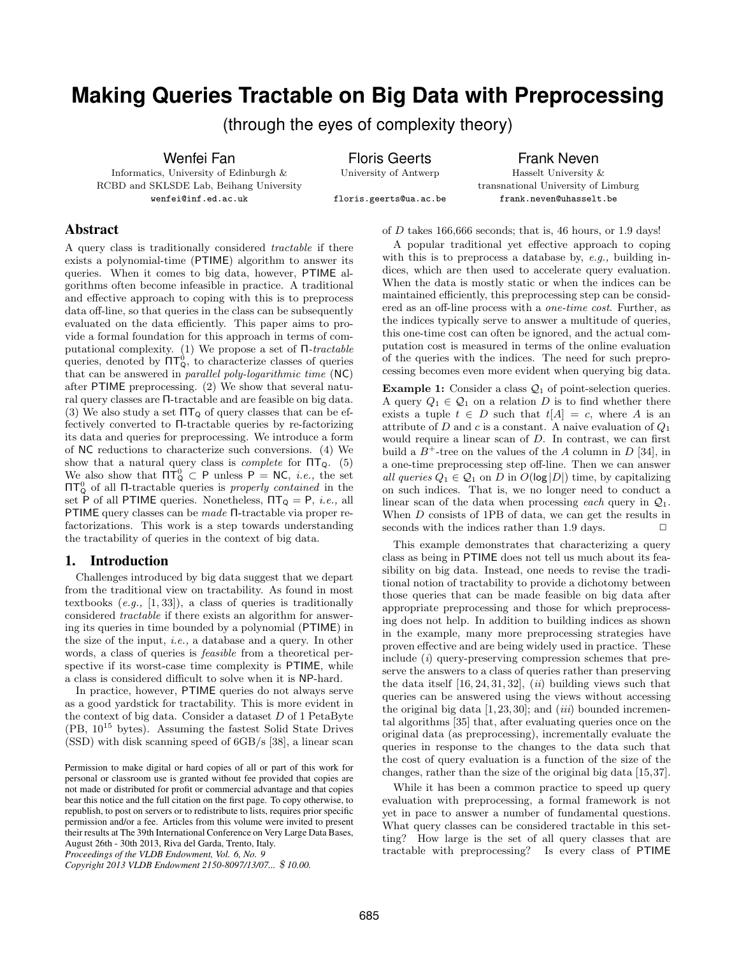# **Making Queries Tractable on Big Data with Preprocessing**

(through the eyes of complexity theory)

Wenfei Fan

Informatics, University of Edinburgh  $\&$ RCBD and SKLSDE Lab, Beihang University wenfei@inf.ed.ac.uk

Floris Geerts

University of Antwerp

floris.geerts@ua.ac.be

Frank Neven Hasselt University & transnational University of Limburg

frank.neven@uhasselt.be

Abstract

A query class is traditionally considered tractable if there exists a polynomial-time (PTIME) algorithm to answer its queries. When it comes to big data, however, PTIME algorithms often become infeasible in practice. A traditional and effective approach to coping with this is to preprocess data off-line, so that queries in the class can be subsequently evaluated on the data efficiently. This paper aims to provide a formal foundation for this approach in terms of computational complexity. (1) We propose a set of Π-tractable queries, denoted by  $\Pi T_Q^0$ , to characterize classes of queries that can be answered in parallel poly-logarithmic time (NC) after PTIME preprocessing. (2) We show that several natural query classes are Π-tractable and are feasible on big data. (3) We also study a set  $\Pi T_Q$  of query classes that can be effectively converted to Π-tractable queries by re-factorizing its data and queries for preprocessing. We introduce a form of NC reductions to characterize such conversions. (4) We show that a natural query class is *complete* for  $\Pi$  $\mathsf{T}_{\mathsf{Q}}$ . (5) We also show that  $\Pi_{\mathsf{Q}}^0 \subset \mathsf{P}$  unless  $\mathsf{P} = \mathsf{NC}, i.e.,$  the set  $\Pi T_Q^0$  of all  $\Pi$ -tractable queries is *properly contained* in the set P of all PTIME queries. Nonetheless,  $\Pi T_{\mathsf{Q}} = P$ , *i.e.*, all PTIME query classes can be made Π-tractable via proper refactorizations. This work is a step towards understanding the tractability of queries in the context of big data.

# 1. Introduction

Challenges introduced by big data suggest that we depart from the traditional view on tractability. As found in most textbooks  $(e.g., [1, 33]),$  a class of queries is traditionally considered tractable if there exists an algorithm for answering its queries in time bounded by a polynomial (PTIME) in the size of the input, i.e., a database and a query. In other words, a class of queries is feasible from a theoretical perspective if its worst-case time complexity is PTIME, while a class is considered difficult to solve when it is NP-hard.

In practice, however, PTIME queries do not always serve as a good yardstick for tractability. This is more evident in the context of big data. Consider a dataset D of 1 PetaByte  $(PB, 10^{15}$  bytes). Assuming the fastest Solid State Drives (SSD) with disk scanning speed of 6GB/s [38], a linear scan of  $D$  takes 166,666 seconds; that is, 46 hours, or 1.9 days! A popular traditional yet effective approach to coping

with this is to preprocess a database by,  $e.g.,$  building indices, which are then used to accelerate query evaluation. When the data is mostly static or when the indices can be maintained efficiently, this preprocessing step can be considered as an off-line process with a one-time cost. Further, as the indices typically serve to answer a multitude of queries, this one-time cost can often be ignored, and the actual computation cost is measured in terms of the online evaluation of the queries with the indices. The need for such preprocessing becomes even more evident when querying big data.

**Example 1:** Consider a class  $\mathcal{Q}_1$  of point-selection queries. A query  $Q_1 \in \mathcal{Q}_1$  on a relation D is to find whether there exists a tuple  $t \in D$  such that  $t[A] = c$ , where A is an attribute of D and c is a constant. A naive evaluation of  $Q_1$ would require a linear scan of D. In contrast, we can first build a  $B^+$ -tree on the values of the A column in D [34], in a one-time preprocessing step off-line. Then we can answer all queries  $Q_1 \in \mathcal{Q}_1$  on D in  $O(\log |D|)$  time, by capitalizing on such indices. That is, we no longer need to conduct a linear scan of the data when processing each query in  $Q_1$ . When D consists of 1PB of data, we can get the results in seconds with the indices rather than 1.9 days.  $\Box$ 

This example demonstrates that characterizing a query class as being in PTIME does not tell us much about its feasibility on big data. Instead, one needs to revise the traditional notion of tractability to provide a dichotomy between those queries that can be made feasible on big data after appropriate preprocessing and those for which preprocessing does not help. In addition to building indices as shown in the example, many more preprocessing strategies have proven effective and are being widely used in practice. These include  $(i)$  query-preserving compression schemes that preserve the answers to a class of queries rather than preserving the data itself  $[16, 24, 31, 32]$ ,  $(ii)$  building views such that queries can be answered using the views without accessing the original big data  $[1, 23, 30]$ ; and  $(iii)$  bounded incremental algorithms [35] that, after evaluating queries once on the original data (as preprocessing), incrementally evaluate the queries in response to the changes to the data such that the cost of query evaluation is a function of the size of the changes, rather than the size of the original big data [15,37].

While it has been a common practice to speed up query evaluation with preprocessing, a formal framework is not yet in pace to answer a number of fundamental questions. What query classes can be considered tractable in this setting? How large is the set of all query classes that are tractable with preprocessing? Is every class of PTIME

Permission to make digital or hard copies of all or part of this work for personal or classroom use is granted without fee provided that copies are not made or distributed for profit or commercial advantage and that copies bear this notice and the full citation on the first page. To copy otherwise, to republish, to post on servers or to redistribute to lists, requires prior specific permission and/or a fee. Articles from this volume were invited to present their results at The 39th International Conference on Very Large Data Bases, August 26th - 30th 2013, Riva del Garda, Trento, Italy.

*Proceedings of the VLDB Endowment, Vol. 6, No. 9*

*Copyright 2013 VLDB Endowment 2150-8097/13/07...* \$ *10.00.*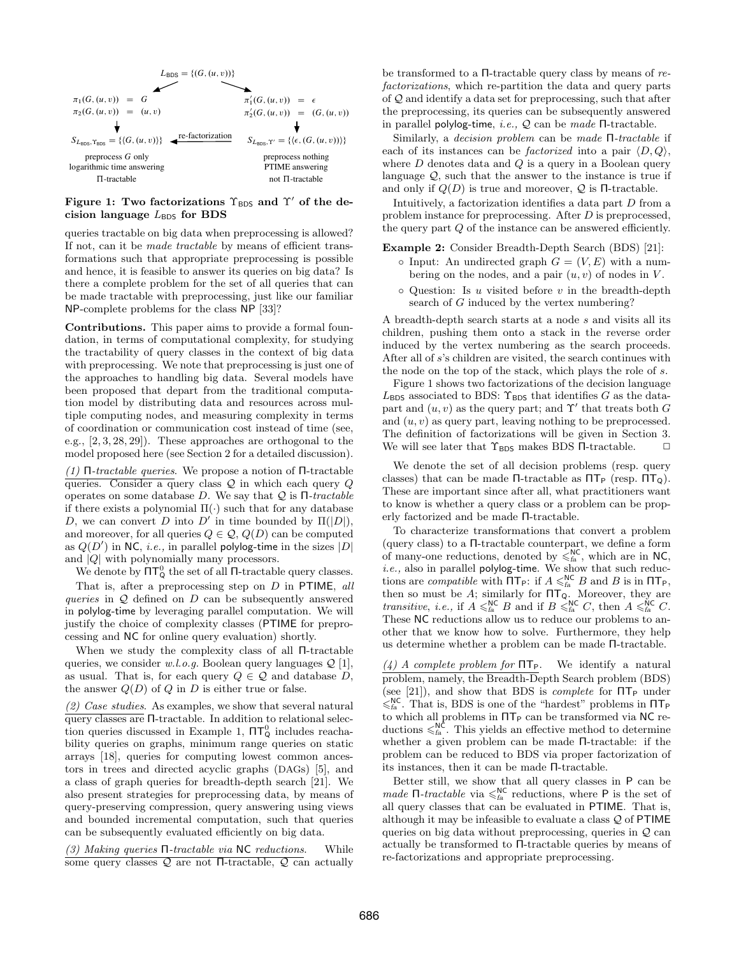

Figure 1: Two factorizations  $\Upsilon_{\mathsf{BDS}}$  and  $\Upsilon'$  of the decision language  $L_{\text{BDS}}$  for BDS

queries tractable on big data when preprocessing is allowed? If not, can it be made tractable by means of efficient transformations such that appropriate preprocessing is possible and hence, it is feasible to answer its queries on big data? Is there a complete problem for the set of all queries that can be made tractable with preprocessing, just like our familiar NP-complete problems for the class NP [33]?

Contributions. This paper aims to provide a formal foundation, in terms of computational complexity, for studying the tractability of query classes in the context of big data with preprocessing. We note that preprocessing is just one of the approaches to handling big data. Several models have been proposed that depart from the traditional computation model by distributing data and resources across multiple computing nodes, and measuring complexity in terms of coordination or communication cost instead of time (see, e.g., [2, 3, 28, 29]). These approaches are orthogonal to the model proposed here (see Section 2 for a detailed discussion).

(1)  $\Pi$ -tractable queries. We propose a notion of  $\Pi$ -tractable queries. Consider a query class  $Q$  in which each query  $Q$ operates on some database D. We say that  $\mathcal Q$  is  $\Pi$ -tractable if there exists a polynomial  $\Pi(\cdot)$  such that for any database D, we can convert D into D' in time bounded by  $\Pi(|D|)$ , and moreover, for all queries  $Q \in \mathcal{Q}, Q(D)$  can be computed as  $Q(D')$  in NC, *i.e.*, in parallel polylog-time in the sizes  $|D|$ and |Q| with polynomially many processors.

We denote by  $\Pi T_Q^0$  the set of all  $\Pi$ -tractable query classes. That is, after a preprocessing step on D in PTIME, all queries in  $Q$  defined on  $D$  can be subsequently answered in polylog-time by leveraging parallel computation. We will justify the choice of complexity classes (PTIME for preprocessing and NC for online query evaluation) shortly.

When we study the complexity class of all Π-tractable queries, we consider w.l.o.g. Boolean query languages  $Q$  [1], as usual. That is, for each query  $Q \in \mathcal{Q}$  and database D, the answer  $Q(D)$  of  $Q$  in  $D$  is either true or false.

(2) Case studies. As examples, we show that several natural query classes are Π-tractable. In addition to relational selection queries discussed in Example 1,  $\Pi_{\mathsf{Q}}^{0}$  includes reachability queries on graphs, minimum range queries on static arrays [18], queries for computing lowest common ancestors in trees and directed acyclic graphs (DAGs) [5], and a class of graph queries for breadth-depth search [21]. We also present strategies for preprocessing data, by means of query-preserving compression, query answering using views and bounded incremental computation, such that queries can be subsequently evaluated efficiently on big data.

(3) Making queries  $\Pi$ -tractable via NC reductions. While some query classes  $\mathcal Q$  are not Π-tractable,  $\mathcal Q$  can actually be transformed to a Π-tractable query class by means of refactorizations, which re-partition the data and query parts of Q and identify a data set for preprocessing, such that after the preprocessing, its queries can be subsequently answered in parallel polylog-time, i.e.,  $Q$  can be made  $\Pi$ -tractable.

Similarly, a decision problem can be made Π-tractable if each of its instances can be *factorized* into a pair  $\langle D, Q \rangle$ , where  $D$  denotes data and  $Q$  is a query in a Boolean query language  $Q$ , such that the answer to the instance is true if and only if  $Q(D)$  is true and moreover,  $Q$  is  $\Pi$ -tractable.

Intuitively, a factorization identifies a data part D from a problem instance for preprocessing. After D is preprocessed, the query part Q of the instance can be answered efficiently.

Example 2: Consider Breadth-Depth Search (BDS) [21]:

- $\circ$  Input: An undirected graph  $G = (V, E)$  with a numbering on the nodes, and a pair  $(u, v)$  of nodes in  $V$ .
- $\circ$  Question: Is u visited before v in the breadth-depth search of G induced by the vertex numbering?

A breadth-depth search starts at a node s and visits all its children, pushing them onto a stack in the reverse order induced by the vertex numbering as the search proceeds. After all of s's children are visited, the search continues with the node on the top of the stack, which plays the role of s.

Figure 1 shows two factorizations of the decision language  $L_{\text{BDS}}$  associated to BDS:  $\Upsilon_{\text{BDS}}$  that identifies G as the datapart and  $(u, v)$  as the query part; and Y' that treats both G and  $(u, v)$  as query part, leaving nothing to be preprocessed. The definition of factorizations will be given in Section 3. We will see later that  $\Upsilon_{\mathsf{BDS}}$  makes BDS  $\Pi\text{-tractable}.$ 

We denote the set of all decision problems (resp. query classes) that can be made  $\Pi$ -tractable as  $\Pi\Gamma_{\mathsf{P}}$  (resp.  $\Pi\Gamma_{\mathsf{Q}}$ ). These are important since after all, what practitioners want to know is whether a query class or a problem can be properly factorized and be made Π-tractable.

To characterize transformations that convert a problem (query class) to a Π-tractable counterpart, we define a form of many-one reductions, denoted by  $\leqslant_{\text{fa}}^{\text{NC}}$ , which are in NC,  $i.e.,$  also in parallel polylog-time. We show that such reductions are *compatible* with  $\Pi T_P$ : if  $A \leq_{\text{fa}}^{\text{NC}} B$  and B is in  $\Pi T_P$ , then so must be A; similarly for  $\Pi$ , Moreover, they are transitive, i.e., if  $A \leq_{\text{fa}}^{\text{NC}} B$  and if  $B \leq_{\text{fa}}^{\text{NC}} C$ , then  $A \leq_{\text{fa}}^{\text{NC}} C$ . These NC reductions allow us to reduce our problems to another that we know how to solve. Furthermore, they help us determine whether a problem can be made Π-tractable.

(4) A complete problem for  $\Pi$ <sub>P</sub>. We identify a natural problem, namely, the Breadth-Depth Search problem (BDS) (see [21]), and show that BDS is *complete* for  $\Pi T_{\mathsf{P}}$  under  $\leq^{\text{NC}}_{\text{fa}}$ . That is, BDS is one of the "hardest" problems in  $\Pi T_P$ to which all problems in  $\Pi T_P$  can be transformed via NC reductions  $\leq^{\text{NC}}_{\text{fa}}$ . This yields an effective method to determine whether a given problem can be made Π-tractable: if the problem can be reduced to BDS via proper factorization of its instances, then it can be made Π-tractable.

Better still, we show that all query classes in P can be made  $\Pi$ -tractable via  $\leq^{\text{NC}}_{\text{fa}}$  reductions, where P is the set of all query classes that can be evaluated in PTIME. That is, although it may be infeasible to evaluate a class  $\mathcal Q$  of PTIME queries on big data without preprocessing, queries in  $\mathcal{Q}$  can actually be transformed to Π-tractable queries by means of re-factorizations and appropriate preprocessing.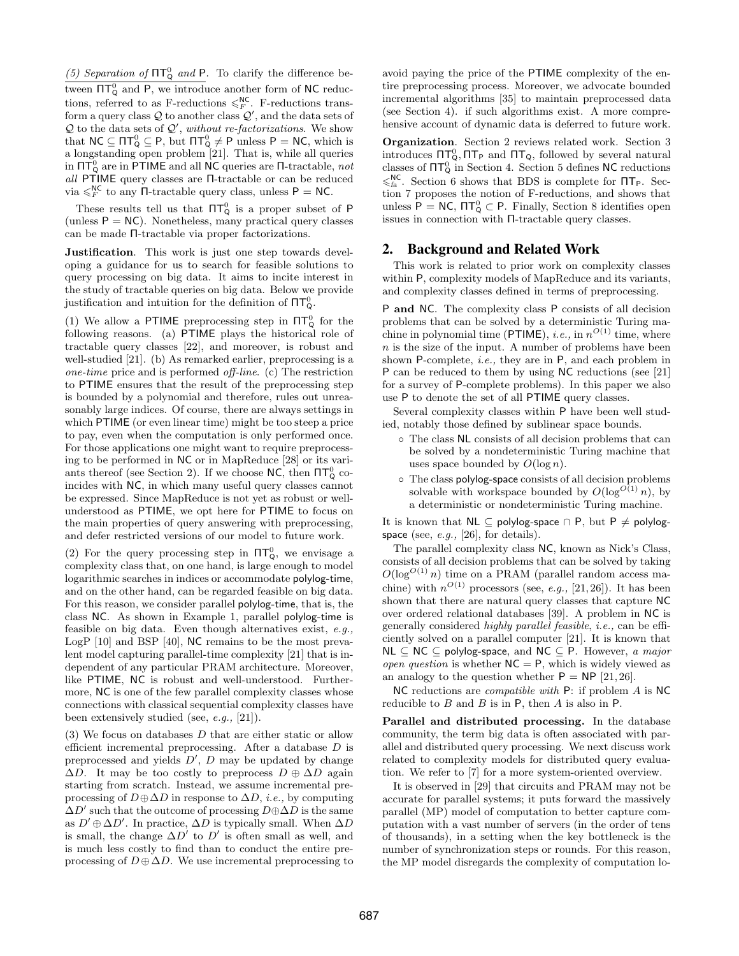(5) Separation of  $\Pi T_Q^0$  and P. To clarify the difference between  $\Pi\Gamma^0_{\mathsf{Q}}$  and P, we introduce another form of NC reductions, referred to as F-reductions  $\leqslant^{\mathsf{NC}}_F$ . F-reductions transform a query class  $\mathcal Q$  to another class  $\mathcal Q'$ , and the data sets of  $Q$  to the data sets of  $Q'$ , without re-factorizations. We show that  $NC \subseteq \Pi T_Q^0 \subseteq P$ , but  $\Pi T_Q^0 \neq P$  unless  $P = NC$ , which is a longstanding open problem [21]. That is, while all queries in  $\Pi_{\mathsf{Q}}^{\mathsf{T}^0}$  are in PTIME and all NC queries are  $\Pi\text{-tractable},\,not$ all PTIME query classes are Π-tractable or can be reduced via  $\leqslant^{\mathsf{NC}}_F$  to any  $\mathsf{\Pi}\text{-tractable}$  query class, unless  $\mathsf{P} = \mathsf{NC}$ .

These results tell us that  $\Pi_{\mathsf{Q}}^{\mathsf{O}}$  is a proper subset of P (unless  $P = NC$ ). Nonetheless, many practical query classes can be made Π-tractable via proper factorizations.

Justification. This work is just one step towards developing a guidance for us to search for feasible solutions to query processing on big data. It aims to incite interest in the study of tractable queries on big data. Below we provide justification and intuition for the definition of  $\Pi T_Q^0$ .

(1) We allow a PTIME preprocessing step in  $\Pi T_Q^0$  for the following reasons. (a) PTIME plays the historical role of tractable query classes [22], and moreover, is robust and well-studied [21]. (b) As remarked earlier, preprocessing is a one-time price and is performed off-line. (c) The restriction to PTIME ensures that the result of the preprocessing step is bounded by a polynomial and therefore, rules out unreasonably large indices. Of course, there are always settings in which PTIME (or even linear time) might be too steep a price to pay, even when the computation is only performed once. For those applications one might want to require preprocessing to be performed in NC or in MapReduce [28] or its variants thereof (see Section 2). If we choose  $NC$ , then  $\Pi T_Q^0$  coincides with NC, in which many useful query classes cannot be expressed. Since MapReduce is not yet as robust or wellunderstood as PTIME, we opt here for PTIME to focus on the main properties of query answering with preprocessing, and defer restricted versions of our model to future work.

(2) For the query processing step in  $\Pi T_Q^0$ , we envisage a complexity class that, on one hand, is large enough to model logarithmic searches in indices or accommodate polylog-time, and on the other hand, can be regarded feasible on big data. For this reason, we consider parallel polylog-time, that is, the class NC. As shown in Example 1, parallel polylog-time is feasible on big data. Even though alternatives exist, e.g., LogP [10] and BSP [40], NC remains to be the most prevalent model capturing parallel-time complexity [21] that is independent of any particular PRAM architecture. Moreover, like PTIME, NC is robust and well-understood. Furthermore, NC is one of the few parallel complexity classes whose connections with classical sequential complexity classes have been extensively studied (see, e.g., [21]).

(3) We focus on databases D that are either static or allow efficient incremental preprocessing. After a database D is preprocessed and yields  $D'$ ,  $D$  may be updated by change  $\Delta D$ . It may be too costly to preprocess  $D \oplus \Delta D$  again starting from scratch. Instead, we assume incremental preprocessing of  $D \oplus \Delta D$  in response to  $\Delta D$ , *i.e.*, by computing  $\Delta D'$  such that the outcome of processing  $D \oplus \Delta D$  is the same as  $D' \oplus \Delta D'$ . In practice,  $\Delta D$  is typically small. When  $\Delta D$ is small, the change  $\Delta D'$  to  $D'$  is often small as well, and is much less costly to find than to conduct the entire preprocessing of  $D \oplus \Delta D$ . We use incremental preprocessing to

avoid paying the price of the PTIME complexity of the entire preprocessing process. Moreover, we advocate bounded incremental algorithms [35] to maintain preprocessed data (see Section 4). if such algorithms exist. A more comprehensive account of dynamic data is deferred to future work.

Organization. Section 2 reviews related work. Section 3 introduces  $\Pi_{\mathsf{Q}}^{T_0}$ ,  $\Pi_{\mathsf{P}}$  and  $\Pi_{\mathsf{Q}}$ , followed by several natural classes of  $\Pi T_Q^0$  in Section 4. Section 5 defines NC reductions  $\leq_{\text{fa}}^{\text{NC}}$ . Section 6 shows that BDS is complete for  $\Pi\mathsf{T}_{\text{P}}$ . Section 7 proposes the notion of F-reductions, and shows that unless  $P = NC$ ,  $\Pi T_Q^0 \subset P$ . Finally, Section 8 identifies open issues in connection with Π-tractable query classes.

# 2. Background and Related Work

This work is related to prior work on complexity classes within P, complexity models of MapReduce and its variants, and complexity classes defined in terms of preprocessing.

P and NC. The complexity class P consists of all decision problems that can be solved by a deterministic Turing machine in polynomial time (PTIME), *i.e.*, in  $n^{O(1)}$  time, where  $n$  is the size of the input. A number of problems have been shown P-complete, i.e., they are in P, and each problem in P can be reduced to them by using NC reductions (see [21] for a survey of P-complete problems). In this paper we also use P to denote the set of all PTIME query classes.

Several complexity classes within P have been well studied, notably those defined by sublinear space bounds.

- The class NL consists of all decision problems that can be solved by a nondeterministic Turing machine that uses space bounded by  $O(\log n)$ .
- The class polylog-space consists of all decision problems solvable with workspace bounded by  $O(\log^{O(1)} n)$ , by a deterministic or nondeterministic Turing machine.

It is known that  $NL ⊆ polylog-space ∩ P$ , but  $P ≠ polylog$ space (see,  $e.g., [26]$ , for details).

The parallel complexity class NC, known as Nick's Class, consists of all decision problems that can be solved by taking  $O(\log^{O(1)} n)$  time on a PRAM (parallel random access machine) with  $n^{O(1)}$  processors (see, e.g., [21, 26]). It has been shown that there are natural query classes that capture NC over ordered relational databases [39]. A problem in NC is generally considered highly parallel feasible, i.e., can be efficiently solved on a parallel computer [21]. It is known that NL  $\subseteq$  NC  $\subseteq$  polylog-space, and NC  $\subseteq$  P. However, a major *open question* is whether  $NC = P$ , which is widely viewed as an analogy to the question whether  $P = NP [21, 26]$ .

NC reductions are compatible with P: if problem A is NC reducible to  $B$  and  $B$  is in  $P$ , then  $A$  is also in  $P$ .

Parallel and distributed processing. In the database community, the term big data is often associated with parallel and distributed query processing. We next discuss work related to complexity models for distributed query evaluation. We refer to [7] for a more system-oriented overview.

It is observed in [29] that circuits and PRAM may not be accurate for parallel systems; it puts forward the massively parallel (MP) model of computation to better capture computation with a vast number of servers (in the order of tens of thousands), in a setting when the key bottleneck is the number of synchronization steps or rounds. For this reason, the MP model disregards the complexity of computation lo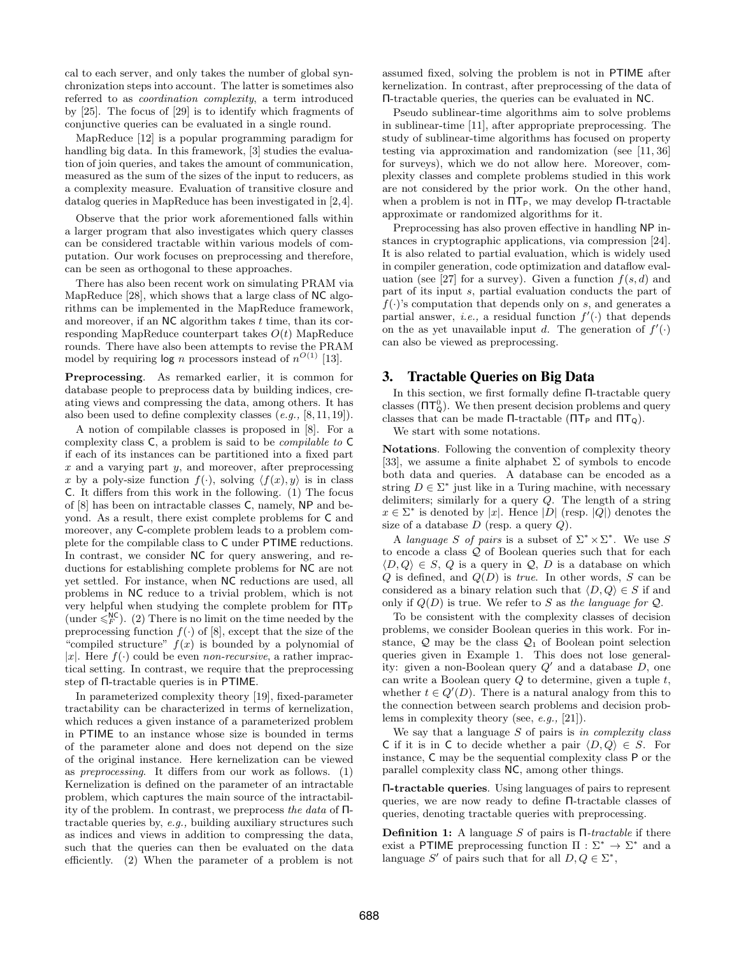cal to each server, and only takes the number of global synchronization steps into account. The latter is sometimes also referred to as coordination complexity, a term introduced by [25]. The focus of [29] is to identify which fragments of conjunctive queries can be evaluated in a single round.

MapReduce [12] is a popular programming paradigm for handling big data. In this framework, [3] studies the evaluation of join queries, and takes the amount of communication, measured as the sum of the sizes of the input to reducers, as a complexity measure. Evaluation of transitive closure and datalog queries in MapReduce has been investigated in [2,4].

Observe that the prior work aforementioned falls within a larger program that also investigates which query classes can be considered tractable within various models of computation. Our work focuses on preprocessing and therefore, can be seen as orthogonal to these approaches.

There has also been recent work on simulating PRAM via MapReduce [28], which shows that a large class of NC algorithms can be implemented in the MapReduce framework, and moreover, if an  $NC$  algorithm takes t time, than its corresponding MapReduce counterpart takes  $O(t)$  MapReduce rounds. There have also been attempts to revise the PRAM model by requiring  $log n$  processors instead of  $n^{O(1)}$  [13].

Preprocessing. As remarked earlier, it is common for database people to preprocess data by building indices, creating views and compressing the data, among others. It has also been used to define complexity classes  $(e.g., [8, 11, 19])$ .

A notion of compilable classes is proposed in [8]. For a complexity class C, a problem is said to be compilable to C if each of its instances can be partitioned into a fixed part  $x$  and a varying part  $y$ , and moreover, after preprocessing x by a poly-size function  $f(\cdot)$ , solving  $\langle f(x), y \rangle$  is in class C. It differs from this work in the following. (1) The focus of [8] has been on intractable classes C, namely, NP and beyond. As a result, there exist complete problems for C and moreover, any C-complete problem leads to a problem complete for the compilable class to C under PTIME reductions. In contrast, we consider NC for query answering, and reductions for establishing complete problems for NC are not yet settled. For instance, when NC reductions are used, all problems in NC reduce to a trivial problem, which is not very helpful when studying the complete problem for  $\Pi\mathsf{T}_P$ (under  $\leqslant^{\mathsf{NC}}_F$ ). (2) There is no limit on the time needed by the preprocessing function  $f(\cdot)$  of [8], except that the size of the "compiled structure"  $f(x)$  is bounded by a polynomial of |x|. Here  $f(.)$  could be even *non-recursive*, a rather impractical setting. In contrast, we require that the preprocessing step of Π-tractable queries is in PTIME.

In parameterized complexity theory [19], fixed-parameter tractability can be characterized in terms of kernelization, which reduces a given instance of a parameterized problem in PTIME to an instance whose size is bounded in terms of the parameter alone and does not depend on the size of the original instance. Here kernelization can be viewed as preprocessing. It differs from our work as follows. (1) Kernelization is defined on the parameter of an intractable problem, which captures the main source of the intractability of the problem. In contrast, we preprocess the data of Πtractable queries by, e.g., building auxiliary structures such as indices and views in addition to compressing the data, such that the queries can then be evaluated on the data efficiently. (2) When the parameter of a problem is not assumed fixed, solving the problem is not in PTIME after kernelization. In contrast, after preprocessing of the data of Π-tractable queries, the queries can be evaluated in NC.

Pseudo sublinear-time algorithms aim to solve problems in sublinear-time [11], after appropriate preprocessing. The study of sublinear-time algorithms has focused on property testing via approximation and randomization (see [11, 36] for surveys), which we do not allow here. Moreover, complexity classes and complete problems studied in this work are not considered by the prior work. On the other hand, when a problem is not in  $\Pi\mathsf{T}_P$ , we may develop  $\Pi\text{-tractable}$ approximate or randomized algorithms for it.

Preprocessing has also proven effective in handling NP instances in cryptographic applications, via compression [24]. It is also related to partial evaluation, which is widely used in compiler generation, code optimization and dataflow evaluation (see [27] for a survey). Given a function  $f(s, d)$  and part of its input s, partial evaluation conducts the part of  $f(\cdot)$ 's computation that depends only on s, and generates a partial answer, *i.e.*, a residual function  $f'(\cdot)$  that depends on the as yet unavailable input d. The generation of  $f'(\cdot)$ can also be viewed as preprocessing.

# 3. Tractable Queries on Big Data

In this section, we first formally define Π-tractable query classes  $(\Pi T_Q^0)$ . We then present decision problems and query classes that can be made  $\Pi$ -tractable ( $\Pi$ T<sub>P</sub> and  $\Pi$ T<sub>Q</sub>).

We start with some notations.

Notations. Following the convention of complexity theory [33], we assume a finite alphabet  $\Sigma$  of symbols to encode both data and queries. A database can be encoded as a string  $D \in \Sigma^*$  just like in a Turing machine, with necessary delimiters; similarly for a query Q. The length of a string  $x \in \Sigma^*$  is denoted by |x|. Hence |D| (resp. |Q|) denotes the size of a database  $D$  (resp. a query  $Q$ ).

A language S of pairs is a subset of  $\Sigma^* \times \Sigma^*$ . We use S to encode a class Q of Boolean queries such that for each  $\langle D, Q \rangle \in S$ , Q is a query in Q, D is a database on which  $Q$  is defined, and  $Q(D)$  is *true*. In other words,  $S$  can be considered as a binary relation such that  $\langle D, Q \rangle \in S$  if and only if  $Q(D)$  is true. We refer to S as the language for Q.

To be consistent with the complexity classes of decision problems, we consider Boolean queries in this work. For instance,  $Q$  may be the class  $Q_1$  of Boolean point selection queries given in Example 1. This does not lose generality: given a non-Boolean query  $Q'$  and a database  $D$ , one can write a Boolean query  $Q$  to determine, given a tuple  $t$ , whether  $t \in Q'(D)$ . There is a natural analogy from this to the connection between search problems and decision problems in complexity theory (see, e.g., [21]).

We say that a language  $S$  of pairs is in complexity class C if it is in C to decide whether a pair  $\langle D, Q \rangle \in S$ . For instance, C may be the sequential complexity class P or the parallel complexity class NC, among other things.

Π-tractable queries. Using languages of pairs to represent queries, we are now ready to define Π-tractable classes of queries, denoting tractable queries with preprocessing.

**Definition 1:** A language S of pairs is  $Π$ -tractable if there exist a PTIME preprocessing function  $\Pi : \Sigma^* \to \Sigma^*$  and a language S' of pairs such that for all  $D, Q \in \Sigma^*$ ,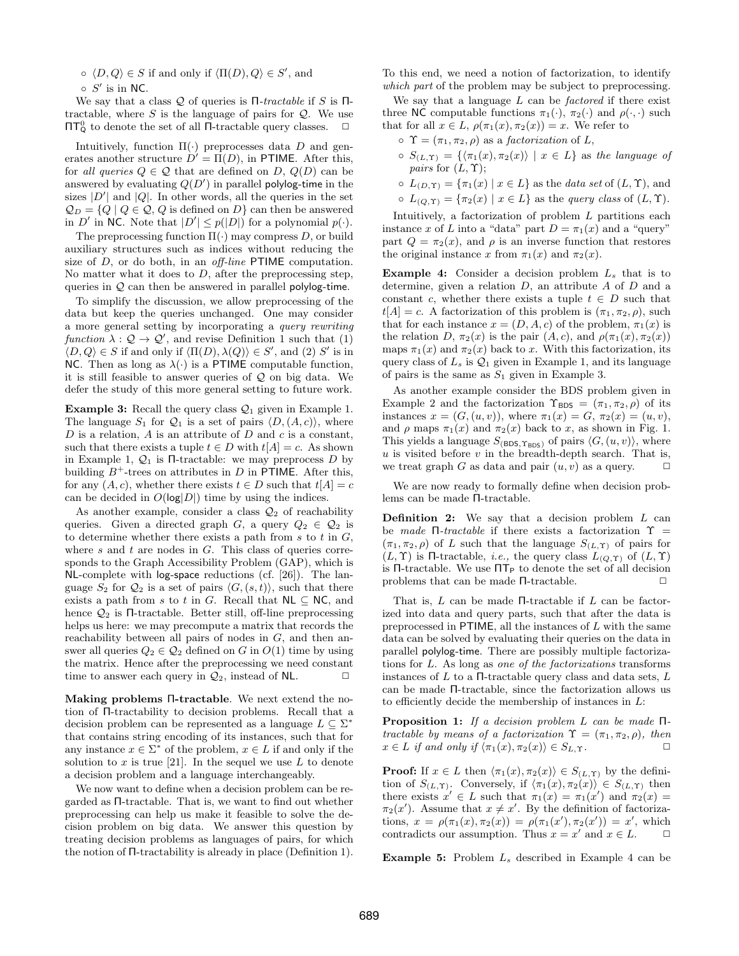$\circ \langle D, Q \rangle \in S$  if and only if  $\langle \Pi(D), Q \rangle \in S'$ , and

 $\circ$   $S'$  is in NC.

We say that a class  $\mathcal Q$  of queries is  $\Pi$ -tractable if S is  $\Pi$ tractable, where  $S$  is the language of pairs for  $Q$ . We use  $\Pi T^0_Q$  to denote the set of all  $\Pi$ -tractable query classes.  $\Box$ 

Intuitively, function  $\Pi(\cdot)$  preprocesses data D and generates another structure  $D' = \Pi(D)$ , in PTIME. After this, for all queries  $Q \in \mathcal{Q}$  that are defined on D,  $Q(D)$  can be answered by evaluating  $Q(D')$  in parallel polylog-time in the sizes  $|D'|$  and  $|Q|$ . In other words, all the queries in the set  $\mathcal{Q}_D = \{Q \mid Q \in \mathcal{Q}, Q \text{ is defined on } D\}$  can then be answered in D' in NC. Note that  $|D'| \leq p(|D|)$  for a polynomial  $p(\cdot)$ .

The preprocessing function  $\Pi(\cdot)$  may compress D, or build auxiliary structures such as indices without reducing the size of  $D$ , or do both, in an *off-line* PTIME computation. No matter what it does to  $D$ , after the preprocessing step, queries in  $Q$  can then be answered in parallel polylog-time.

To simplify the discussion, we allow preprocessing of the data but keep the queries unchanged. One may consider a more general setting by incorporating a query rewriting function  $\lambda : \mathcal{Q} \to \mathcal{Q}'$ , and revise Definition 1 such that (1)  $\langle D, Q \rangle \in S$  if and only if  $\langle \Pi(D), \lambda(Q) \rangle \in S'$ , and (2) S' is in NC. Then as long as  $\lambda(\cdot)$  is a PTIME computable function, it is still feasible to answer queries of  $Q$  on big data. We defer the study of this more general setting to future work.

**Example 3:** Recall the query class  $Q_1$  given in Example 1. The language  $S_1$  for  $\mathcal{Q}_1$  is a set of pairs  $\langle D,(A, c)\rangle$ , where  $D$  is a relation,  $A$  is an attribute of  $D$  and  $c$  is a constant, such that there exists a tuple  $t \in D$  with  $t[A] = c$ . As shown in Example 1,  $\mathcal{Q}_1$  is  $\Pi$ -tractable: we may preprocess D by building  $B^+$ -trees on attributes in D in PTIME. After this, for any  $(A, c)$ , whether there exists  $t \in D$  such that  $t[A] = c$ can be decided in  $O(\log|D|)$  time by using the indices.

As another example, consider a class  $\mathcal{Q}_2$  of reachability queries. Given a directed graph G, a query  $Q_2 \in \mathcal{Q}_2$  is to determine whether there exists a path from  $s$  to  $t$  in  $G$ , where  $s$  and  $t$  are nodes in  $G$ . This class of queries corresponds to the Graph Accessibility Problem (GAP), which is NL-complete with log-space reductions (cf. [26]). The language  $S_2$  for  $\mathcal{Q}_2$  is a set of pairs  $\langle G, (s, t) \rangle$ , such that there exists a path from s to t in G. Recall that  $NL \subseteq NC$ , and hence  $\mathcal{Q}_2$  is  $\Pi$ -tractable. Better still, off-line preprocessing helps us here: we may precompute a matrix that records the reachability between all pairs of nodes in  $G$ , and then answer all queries  $Q_2 \in \mathcal{Q}_2$  defined on G in  $O(1)$  time by using the matrix. Hence after the preprocessing we need constant time to answer each query in  $\mathcal{Q}_2$ , instead of NL.  $\Box$ 

Making problems Π-tractable. We next extend the notion of Π-tractability to decision problems. Recall that a decision problem can be represented as a language  $L \subseteq \Sigma^*$ that contains string encoding of its instances, such that for any instance  $x \in \Sigma^*$  of the problem,  $x \in L$  if and only if the solution to  $x$  is true [21]. In the sequel we use  $L$  to denote a decision problem and a language interchangeably.

We now want to define when a decision problem can be regarded as Π-tractable. That is, we want to find out whether preprocessing can help us make it feasible to solve the decision problem on big data. We answer this question by treating decision problems as languages of pairs, for which the notion of Π-tractability is already in place (Definition 1).

To this end, we need a notion of factorization, to identify which part of the problem may be subject to preprocessing.

We say that a language  $L$  can be *factored* if there exist three NC computable functions  $\pi_1(\cdot)$ ,  $\pi_2(\cdot)$  and  $\rho(\cdot, \cdot)$  such that for all  $x \in L$ ,  $\rho(\pi_1(x), \pi_2(x)) = x$ . We refer to

- $\hat{\Upsilon} = (\pi_1, \pi_2, \rho)$  as a *factorization* of L,
- $S_{(L,\Upsilon)} = \{\langle \pi_1(x), \pi_2(x) \rangle \mid x \in L\}$  as the language of *pairs* for  $(L, \Upsilon)$ ;
- $\circ$   $L_{(D,\Upsilon)} = {\pi_1(x) | x \in L}$  as the *data set* of  $(L, \Upsilon)$ , and
- $\circ$   $L_{(Q,\Upsilon)} = {\pi_2(x) \mid x \in L}$  as the *query class* of  $(L, \Upsilon)$ .

Intuitively, a factorization of problem L partitions each instance x of L into a "data" part  $D = \pi_1(x)$  and a "query" part  $Q = \pi_2(x)$ , and  $\rho$  is an inverse function that restores the original instance x from  $\pi_1(x)$  and  $\pi_2(x)$ .

**Example 4:** Consider a decision problem  $L_s$  that is to determine, given a relation  $D$ , an attribute  $A$  of  $D$  and a constant c, whether there exists a tuple  $t \in D$  such that  $t[A] = c$ . A factorization of this problem is  $(\pi_1, \pi_2, \rho)$ , such that for each instance  $x = (D, A, c)$  of the problem,  $\pi_1(x)$  is the relation D,  $\pi_2(x)$  is the pair  $(A, c)$ , and  $\rho(\pi_1(x), \pi_2(x))$ maps  $\pi_1(x)$  and  $\pi_2(x)$  back to x. With this factorization, its query class of  $L_s$  is  $\mathcal{Q}_1$  given in Example 1, and its language of pairs is the same as  $S_1$  given in Example 3.

As another example consider the BDS problem given in Example 2 and the factorization  $\Upsilon_{\text{BDS}} = (\pi_1, \pi_2, \rho)$  of its instances  $x = (G, (u, v))$ , where  $\pi_1(x) = G$ ,  $\pi_2(x) = (u, v)$ , and  $\rho$  maps  $\pi_1(x)$  and  $\pi_2(x)$  back to x, as shown in Fig. 1. This yields a language  $S_{\text{(BDS, Y_{BDS})}}$  of pairs  $\langle G,(u, v)\rangle$ , where  $u$  is visited before  $v$  in the breadth-depth search. That is, we treat graph G as data and pair  $(u, v)$  as a query.  $\Box$ 

We are now ready to formally define when decision problems can be made Π-tractable.

**Definition 2:** We say that a decision problem  $L$  can be made  $\Pi$ -tractable if there exists a factorization  $\Upsilon$  =  $(\pi_1, \pi_2, \rho)$  of L such that the language  $S_{(L,\Upsilon)}$  of pairs for  $(L, \Upsilon)$  is Π-tractable, *i.e.*, the query class  $L_{(Q,\Upsilon)}$  of  $(L, \Upsilon)$ is  $\Pi$ -tractable. We use  $\Pi\mathsf{T}_P$  to denote the set of all decision problems that can be made  $\Pi$ -tractable.  $\Box$ 

That is,  $L$  can be made  $\Pi$ -tractable if  $L$  can be factorized into data and query parts, such that after the data is preprocessed in PTIME, all the instances of L with the same data can be solved by evaluating their queries on the data in parallel polylog-time. There are possibly multiple factorizations for L. As long as one of the factorizations transforms instances of  $L$  to a  $\Pi$ -tractable query class and data sets,  $L$ can be made Π-tractable, since the factorization allows us to efficiently decide the membership of instances in L:

**Proposition 1:** If a decision problem L can be made  $\Pi$ tractable by means of a factorization  $\Upsilon = (\pi_1, \pi_2, \rho)$ , then  $x \in L$  if and only if  $\langle \pi_1(x), \pi_2(x) \rangle \in S_{L,\Upsilon}$ .

**Proof:** If  $x \in L$  then  $\langle \pi_1(x), \pi_2(x) \rangle \in S_{(L,\Upsilon)}$  by the definition of  $S_{(L,\Upsilon)}$ . Conversely, if  $\langle \pi_1(x), \pi_2(x) \rangle \in S_{(L,\Upsilon)}$  then there exists  $x' \in L$  such that  $\pi_1(x) = \pi_1(x')$  and  $\pi_2(x) =$  $\pi_2(x')$ . Assume that  $x \neq x'$ . By the definition of factorizations,  $x = \rho(\pi_1(x), \pi_2(x)) = \rho(\pi_1(x'), \pi_2(x')) = x'$ , which contradicts our assumption. Thus  $x = x'$  and  $x \in L$ .  $\Box$ 

**Example 5:** Problem  $L_s$  described in Example 4 can be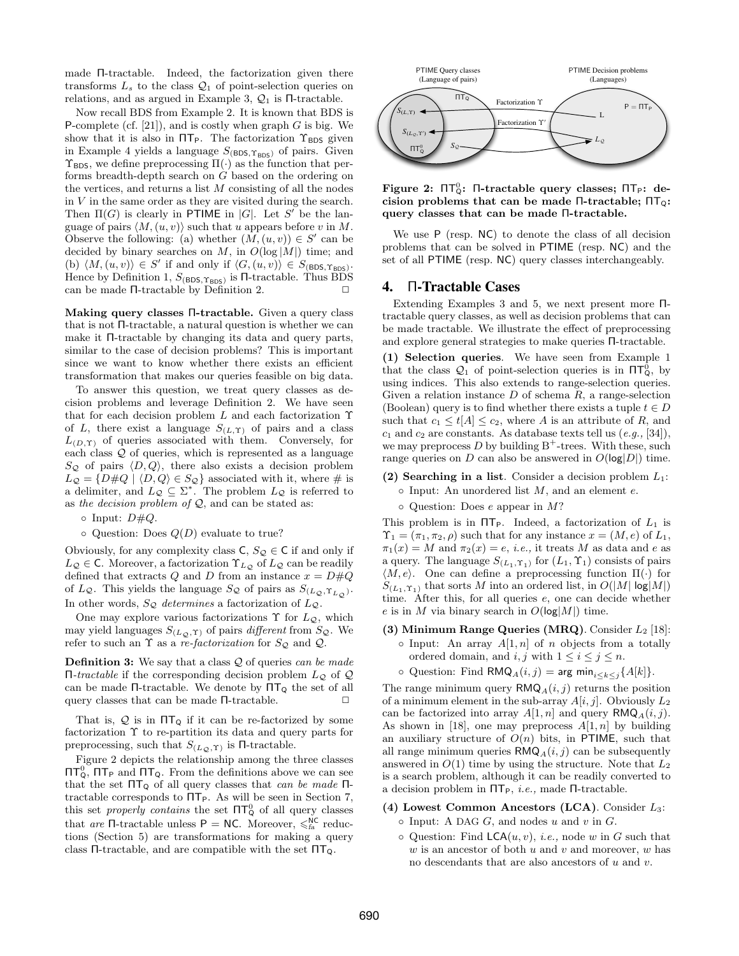made Π-tractable. Indeed, the factorization given there transforms  $L_s$  to the class  $\mathcal{Q}_1$  of point-selection queries on relations, and as argued in Example 3,  $\mathcal{Q}_1$  is  $\Pi$ -tractable.

Now recall BDS from Example 2. It is known that BDS is P-complete (cf.  $[21]$ ), and is costly when graph G is big. We show that it is also in  $\Pi T_P$ . The factorization  $\Upsilon_{BDS}$  given in Example 4 yields a language  $S_{(BDS, \Upsilon_{BDS})}$  of pairs. Given  $\Upsilon_{\text{BDS}}$ , we define preprocessing  $\Pi(\cdot)$  as the function that performs breadth-depth search on G based on the ordering on the vertices, and returns a list  $M$  consisting of all the nodes in V in the same order as they are visited during the search. Then  $\Pi(G)$  is clearly in PTIME in |G|. Let S' be the language of pairs  $\langle M,(u, v)\rangle$  such that u appears before v in M. Observe the following: (a) whether  $(M,(u,v)) \in S'$  can be decided by binary searches on  $M$ , in  $O(\log|M|)$  time; and (b)  $\langle M, (u, v) \rangle \in S'$  if and only if  $\langle G, (u, v) \rangle \in S_{(BDS, \Upsilon_{BDS})}$ . Hence by Definition 1,  $S_{(BDS, \Upsilon_{BDS})}$  is  $\Pi$ -tractable. Thus BDS<br>can be made  $\Pi$ -tractable by Definition 2. can be made  $\Pi$ -tractable by Definition 2.

Making query classes Π-tractable. Given a query class that is not Π-tractable, a natural question is whether we can make it Π-tractable by changing its data and query parts, similar to the case of decision problems? This is important since we want to know whether there exists an efficient transformation that makes our queries feasible on big data.

To answer this question, we treat query classes as decision problems and leverage Definition 2. We have seen that for each decision problem  $L$  and each factorization  $\Upsilon$ of L, there exist a language  $S_{(L,\Upsilon)}$  of pairs and a class  $L_{(D,\Upsilon)}$  of queries associated with them. Conversely, for each class Q of queries, which is represented as a language  $S_{\mathcal{Q}}$  of pairs  $\langle D, Q \rangle$ , there also exists a decision problem  $L_{\mathcal{Q}} = \{D\#Q \mid \langle D,Q \rangle \in S_{\mathcal{Q}}\}$  associated with it, where # is a delimiter, and  $L_{\mathcal{Q}} \subseteq \Sigma^*$ . The problem  $L_{\mathcal{Q}}$  is referred to as the decision problem of  $Q$ , and can be stated as:

 $\circ$  Input:  $D\#Q$ .

 $\circ$  Question: Does  $Q(D)$  evaluate to true?

Obviously, for any complexity class  $C, S_{\mathcal{Q}} \in C$  if and only if  $L_{\mathcal{Q}} \in \mathsf{C}$ . Moreover, a factorization  $\Upsilon_{L_{\mathcal{Q}}}$  of  $L_{\mathcal{Q}}$  can be readily defined that extracts Q and D from an instance  $x = D \# Q$ of  $L_{\mathcal{Q}}$ . This yields the language  $S_{\mathcal{Q}}$  of pairs as  $S_{(L_{\mathcal{Q}}, \Upsilon_{L_{\mathcal{Q}}})}$ . In other words,  $S_{\mathcal{Q}}$  determines a factorization of  $L_{\mathcal{Q}}$ .

One may explore various factorizations  $\Upsilon$  for  $L_{\mathcal{Q}}$ , which may yield languages  $S_{(L_{\mathcal{Q}}, \Upsilon)}$  of pairs *different* from  $S_{\mathcal{Q}}$ . We refer to such an  $\Upsilon$  as a re-factorization for  $S_{\mathcal{Q}}$  and  $\mathcal{Q}$ .

**Definition 3:** We say that a class  $Q$  of queries *can be made* Π-tractable if the corresponding decision problem  $L_Q$  of  $Q$ can be made  $\Pi$ -tractable. We denote by  $\Pi$  $\mathsf{T}_{\mathsf{Q}}$  the set of all query classes that can be made Π-tractable.

That is,  $Q$  is in  $\Pi T_Q$  if it can be re-factorized by some factorization Υ to re-partition its data and query parts for preprocessing, such that  $S_{(L_{\mathcal{Q}},\Upsilon)}$  is  $\Pi\text{-tractable}.$ 

Figure 2 depicts the relationship among the three classes  $\Pi T^0_Q$ ,  $\Pi T_P$  and  $\Pi T_Q$ . From the definitions above we can see that the set  $\Pi$ <sub>Q</sub> of all query classes that *can be made*  $\Pi$ tractable corresponds to  $\Pi$ <sub>P</sub>. As will be seen in Section 7, this set *properly contains* the set  $\Pi_{\mathsf{Q}}^{\mathsf{D}}$  of all query classes that are  $\Pi$ -tractable unless  $P = NC$ . Moreover,  $\leq_{fa}^{NC}$  reductions (Section 5) are transformations for making a query class  $\Pi$ -tractable, and are compatible with the set  $\Pi$  $\mathsf{T}_{\mathsf{Q}}$ .



Figure 2: ΠΤ $_{\mathrm{Q}}^{0}$ : Π-tractable query classes; ΠΤ<sub>Ρ</sub>: decision problems that can be made  $\Pi$ -tractable;  $\Pi$ <sub>0</sub>: query classes that can be made Π-tractable.

We use P (resp. NC) to denote the class of all decision problems that can be solved in PTIME (resp. NC) and the set of all PTIME (resp. NC) query classes interchangeably.

## 4. Π-Tractable Cases

Extending Examples 3 and 5, we next present more Πtractable query classes, as well as decision problems that can be made tractable. We illustrate the effect of preprocessing and explore general strategies to make queries Π-tractable.

(1) Selection queries. We have seen from Example 1 that the class  $\mathcal{Q}_1$  of point-selection queries is in  $\Pi_{\mathsf{Q}}^{\bar{0}}$ , by using indices. This also extends to range-selection queries. Given a relation instance  $D$  of schema  $R$ , a range-selection (Boolean) query is to find whether there exists a tuple  $t \in D$ such that  $c_1 \leq t[A] \leq c_2$ , where A is an attribute of R, and  $c_1$  and  $c_2$  are constants. As database texts tell us (e.g., [34]), we may preprocess  $D$  by building  $B^+$ -trees. With these, such range queries on D can also be answered in  $O(\log|D|)$  time.

- (2) Searching in a list. Consider a decision problem  $L_1$ :
	- $\circ$  Input: An unordered list M, and an element e.
	- $\circ$  Question: Does e appear in M?

This problem is in  $\Pi T_P$ . Indeed, a factorization of  $L_1$  is  $\Upsilon_1 = (\pi_1, \pi_2, \rho)$  such that for any instance  $x = (M, e)$  of  $L_1$ ,  $\pi_1(x) = M$  and  $\pi_2(x) = e$ , *i.e.*, it treats M as data and e as a query. The language  $S_{(L_1, \Upsilon_1)}$  for  $(L_1, \Upsilon_1)$  consists of pairs  $\langle M, e \rangle$ . One can define a preprocessing function  $\Pi(\cdot)$  for  $S_{(L_1,\Upsilon_1)}$  that sorts M into an ordered list, in  $O(|M| \log|M|)$ time. After this, for all queries e, one can decide whether e is in M via binary search in  $O(\log|M|)$  time.

- (3) Minimum Range Queries (MRQ). Consider  $L_2$  [18]:
	- $\circ$  Input: An array  $A[1,n]$  of n objects from a totally ordered domain, and  $i,j$  with  $1\leq i\leq j\leq n.$
	- $\circ$  Question: Find RMQ<sub>A</sub> $(i, j)$  = arg min<sub>i<k ≤j</sub>{A[k]}.

The range minimum query  $\mathsf{RMQ}_A(i,j)$  returns the position of a minimum element in the sub-array  $A[i, j]$ . Obviously  $L_2$ can be factorized into array  $A[1, n]$  and query  $\mathsf{RMQ}_A(i, j)$ . As shown in [18], one may preprocess  $A[1, n]$  by building an auxiliary structure of  $O(n)$  bits, in PTIME, such that all range minimum queries  $\mathsf{RMQ}_A(i,j)$  can be subsequently answered in  $O(1)$  time by using the structure. Note that  $L_2$ is a search problem, although it can be readily converted to a decision problem in  $\Pi$ T<sub>P</sub>, *i.e.*, made  $\Pi$ -tractable.

- (4) Lowest Common Ancestors (LCA). Consider  $L_3$ :
	- $\circ$  Input: A DAG G, and nodes u and v in G.
	- $\circ$  Question: Find LCA $(u, v)$ , *i.e.*, node w in G such that  $w$  is an ancestor of both  $u$  and  $v$  and moreover,  $w$  has no descendants that are also ancestors of  $u$  and  $v$ .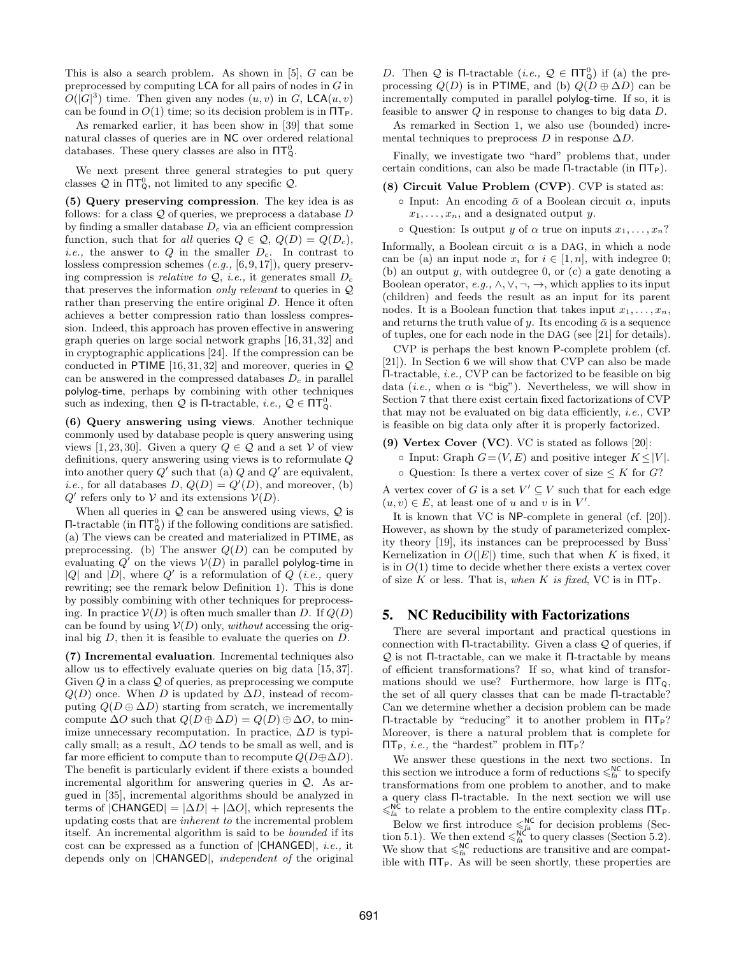This is also a search problem. As shown in [5], G can be preprocessed by computing LCA for all pairs of nodes in G in  $O(|G|^3)$  time. Then given any nodes  $(u, v)$  in G, LCA $(u, v)$ can be found in  $O(1)$  time; so its decision problem is in  $\Pi\mathsf{T}_P$ .

As remarked earlier, it has been show in [39] that some natural classes of queries are in NC over ordered relational databases. These query classes are also in  $\Pi T_Q^0$ .

We next present three general strategies to put query classes  $\mathcal{Q}$  in  $\Pi T_Q^0$ , not limited to any specific  $\mathcal{Q}$ .

(5) Query preserving compression. The key idea is as follows: for a class  $Q$  of queries, we preprocess a database  $D$ by finding a smaller database  $D<sub>c</sub>$  via an efficient compression function, such that for all queries  $Q \in \mathcal{Q}, Q(D) = Q(D_c),$ *i.e.*, the answer to  $Q$  in the smaller  $D_c$ . In contrast to lossless compression schemes  $(e.g., [6, 9, 17])$ , query preserving compression is *relative to Q, i.e.*, it generates small  $D_c$ that preserves the information *only relevant* to queries in  $Q$ rather than preserving the entire original D. Hence it often achieves a better compression ratio than lossless compression. Indeed, this approach has proven effective in answering graph queries on large social network graphs [16, 31, 32] and in cryptographic applications [24]. If the compression can be conducted in PTIME [16, 31, 32] and moreover, queries in  $\mathcal Q$ can be answered in the compressed databases  $D<sub>c</sub>$  in parallel polylog-time, perhaps by combining with other techniques such as indexing, then  $\mathcal Q$  is  $\Pi$ -tractable, *i.e.*,  $\mathcal Q \in \Pi \mathsf{T}^0_{\mathsf{Q}}$ .

(6) Query answering using views. Another technique commonly used by database people is query answering using views [1, 23, 30]. Given a query  $Q \in \mathcal{Q}$  and a set V of view definitions, query answering using views is to reformulate  $\boldsymbol{Q}$ into another query  $Q'$  such that (a)  $Q$  and  $Q'$  are equivalent, *i.e.*, for all databases  $D, Q(D) = Q'(D)$ , and moreover, (b)  $Q'$  refers only to  $V$  and its extensions  $V(D)$ .

When all queries in  $Q$  can be answered using views,  $Q$  is Π-tractable (in  $\Pi T^0_Q$ ) if the following conditions are satisfied. (a) The views can be created and materialized in PTIME, as preprocessing. (b) The answer  $Q(D)$  can be computed by evaluating  $Q'$  on the views  $V(D)$  in parallel polylog-time in  $|Q|$  and  $|D|$ , where  $Q'$  is a reformulation of  $Q$  (*i.e.*, query rewriting; see the remark below Definition 1). This is done by possibly combining with other techniques for preprocessing. In practice  $V(D)$  is often much smaller than D. If  $Q(D)$ can be found by using  $V(D)$  only, without accessing the original big  $D$ , then it is feasible to evaluate the queries on  $D$ .

(7) Incremental evaluation. Incremental techniques also allow us to effectively evaluate queries on big data [15, 37]. Given  $Q$  in a class  $Q$  of queries, as preprocessing we compute  $Q(D)$  once. When D is updated by  $\Delta D$ , instead of recomputing  $Q(D \oplus \Delta D)$  starting from scratch, we incrementally compute  $\Delta O$  such that  $Q(D \oplus \Delta D) = Q(D) \oplus \Delta O$ , to minimize unnecessary recomputation. In practice,  $\Delta D$  is typically small; as a result,  $\Delta O$  tends to be small as well, and is far more efficient to compute than to recompute  $Q(D \oplus \Delta D)$ . The benefit is particularly evident if there exists a bounded incremental algorithm for answering queries in  $Q$ . As argued in [35], incremental algorithms should be analyzed in terms of  $|CHANGED| = |\Delta D| + |\Delta O|$ , which represents the updating costs that are inherent to the incremental problem itself. An incremental algorithm is said to be bounded if its cost can be expressed as a function of |CHANGED|, i.e., it depends only on |CHANGED|, independent of the original

D. Then Q is  $\Pi$ -tractable (*i.e.*,  $\mathcal{Q} \in \Pi \mathsf{T}_{\mathsf{Q}}^0$ ) if (a) the preprocessing  $Q(D)$  is in PTIME, and (b)  $Q(D \oplus \Delta D)$  can be incrementally computed in parallel polylog-time. If so, it is feasible to answer Q in response to changes to big data D.

As remarked in Section 1, we also use (bounded) incremental techniques to preprocess D in response  $\Delta D$ .

Finally, we investigate two "hard" problems that, under certain conditions, can also be made  $\Pi$ -tractable (in  $\Pi T_P$ ).

#### (8) Circuit Value Problem (CVP). CVP is stated as:

- ο Input: An encoding  $\bar{\alpha}$  of a Boolean circuit  $\alpha$ , inputs  $x_1, \ldots, x_n$ , and a designated output y.
- $\circ$  Question: Is output y of  $\alpha$  true on inputs  $x_1, \ldots, x_n$ ?

Informally, a Boolean circuit  $\alpha$  is a DAG, in which a node can be (a) an input node  $x_i$  for  $i \in [1, n]$ , with indegree 0; (b) an output  $y$ , with outdegree  $0$ , or  $(c)$  a gate denoting a Boolean operator,  $e.g., \wedge, \vee, \neg, \rightarrow$ , which applies to its input (children) and feeds the result as an input for its parent nodes. It is a Boolean function that takes input  $x_1, \ldots, x_n$ , and returns the truth value of y. Its encoding  $\bar{\alpha}$  is a sequence of tuples, one for each node in the DAG (see [21] for details).

CVP is perhaps the best known P-complete problem (cf. [21]). In Section 6 we will show that CVP can also be made Π-tractable, i.e., CVP can be factorized to be feasible on big data (*i.e.*, when  $\alpha$  is "big"). Nevertheless, we will show in Section 7 that there exist certain fixed factorizations of CVP that may not be evaluated on big data efficiently, *i.e.*, CVP is feasible on big data only after it is properly factorized.

(9) Vertex Cover (VC). VC is stated as follows [20]:

- $\circ$  Input: Graph  $G = (V, E)$  and positive integer  $K \leq |V|$ .
- $\circ$  Question: Is there a vertex cover of size  $\leq K$  for  $G$ ?

A vertex cover of G is a set  $V' \subseteq V$  such that for each edge  $(u, v) \in E$ , at least one of u and v is in V'.

It is known that VC is NP-complete in general (cf. [20]). However, as shown by the study of parameterized complexity theory [19], its instances can be preprocessed by Buss' Kernelization in  $O(|E|)$  time, such that when K is fixed, it is in  $O(1)$  time to decide whether there exists a vertex cover of size K or less. That is, when K is fixed, VC is in  $\Pi\mathsf{T}_P$ .

# 5. NC Reducibility with Factorizations

There are several important and practical questions in connection with  $\Pi$ -tractability. Given a class  $\mathcal Q$  of queries, if Q is not Π-tractable, can we make it Π-tractable by means of efficient transformations? If so, what kind of transformations should we use? Furthermore, how large is  $\Pi T_{\mathsf{Q}}$ , the set of all query classes that can be made Π-tractable? Can we determine whether a decision problem can be made Π-tractable by "reducing" it to another problem in ΠTP? Moreover, is there a natural problem that is complete for  $\Pi$ <sub>P</sub>, *i.e.*, the "hardest" problem in  $\Pi$ <sub>P</sub>?

We answer these questions in the next two sections. In this section we introduce a form of reductions  $\leqslant^{\mathsf{NC}}_{\text{fa}}$  to specify transformations from one problem to another, and to make a query class Π-tractable. In the next section we will use  $\leq_{\text{fa}}^{\text{NC}}$  to relate a problem to the entire complexity class  $\Pi\mathsf{T}_{\text{P}}$ .

Below we first introduce  $\leq^{\text{NC}}_{fa}$  for decision problems (Section 5.1). We then extend  $\leqslant_{\text{fa}}^{\text{NC}}$  to query classes (Section 5.2). We show that  $\leqslant^{\text{NC}}_{\text{fa}}$  reductions are transitive and are compatible with  $\Pi T_P$ . As will be seen shortly, these properties are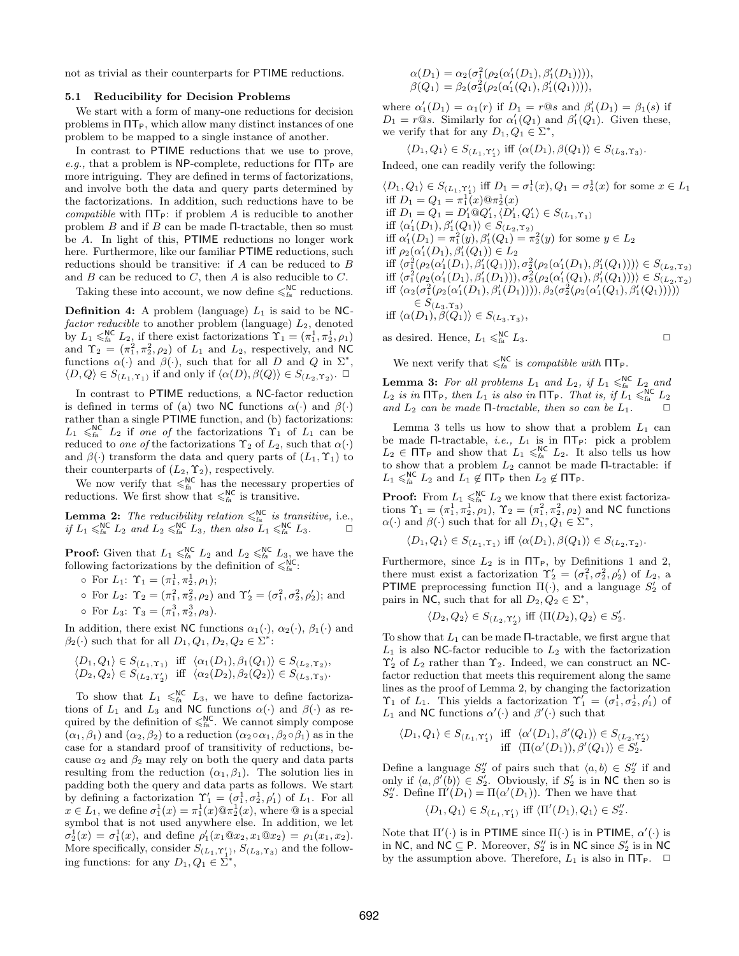not as trivial as their counterparts for PTIME reductions.

#### 5.1 Reducibility for Decision Problems

We start with a form of many-one reductions for decision problems in  $\Pi T_{P}$ , which allow many distinct instances of one problem to be mapped to a single instance of another.

In contrast to PTIME reductions that we use to prove, e.g., that a problem is NP-complete, reductions for  $\Pi\mathsf{T}_P$  are more intriguing. They are defined in terms of factorizations, and involve both the data and query parts determined by the factorizations. In addition, such reductions have to be compatible with  $\Pi$ <sub>P</sub>: if problem A is reducible to another problem  $B$  and if  $B$  can be made  $\Pi$ -tractable, then so must be A. In light of this, PTIME reductions no longer work here. Furthermore, like our familiar PTIME reductions, such reductions should be transitive: if A can be reduced to B and  $B$  can be reduced to  $C$ , then  $A$  is also reducible to  $C$ .

Taking these into account, we now define  $\leqslant_{\text{fa}}^{\text{NC}}$  reductions.

**Definition 4:** A problem (language)  $L_1$  is said to be NCfactor reducible to another problem (language)  $L_2$ , denoted by  $L_1 \leqslant_{\text{fa}}^{\text{NC}} L_2$ , if there exist factorizations  $\Upsilon_1 = (\pi_1^1, \pi_2^1, \rho_1)$ and  $\Upsilon_2 = (\pi_1^2, \pi_2^2, \rho_2)$  of  $L_1$  and  $L_2$ , respectively, and NC functions  $\alpha(\cdot)$  and  $\beta(\cdot)$ , such that for all D and Q in  $\Sigma^*$ ,  $\langle D, Q \rangle \in S_{(L_1, \Upsilon_1)}$  if and only if  $\langle \alpha(D), \beta(Q) \rangle \in S_{(L_2, \Upsilon_2)}$ .  $\Box$ 

In contrast to PTIME reductions, a NC-factor reduction is defined in terms of (a) two NC functions  $\alpha(\cdot)$  and  $\beta(\cdot)$ rather than a single PTIME function, and (b) factorizations:  $L_1 \leqslant_{\text{fa}}^{\text{NC}} L_2$  if one of the factorizations  $\Upsilon_1$  of  $L_1$  can be reduced to one of the factorizations  $\Upsilon_2$  of  $L_2$ , such that  $\alpha(\cdot)$ and  $\beta(\cdot)$  transform the data and query parts of  $(L_1, \Upsilon_1)$  to their counterparts of  $(L_2, \Upsilon_2)$ , respectively.

We now verify that  $\leq^{\mathsf{NC}}_{\mathit{fa}}$  has the necessary properties of reductions. We first show that  $\leqslant^{\text{NC}}_{\text{fa}}$  is transitive.

**Lemma 2:** The reducibility relation  $\leqslant^{\mathsf{NC}}_{\text{fa}}$  is transitive, i.e., if  $L_1 \leqslant_{\text{fa}}^{\text{NC}} L_2$  and  $L_2 \leqslant_{\text{fa}}^{\text{NC}} L_3$ , then also  $L_1 \leqslant_{\text{fa}}^{\text{NC}} L_3$ .

**Proof:** Given that  $L_1 \leqslant_{\text{fa}}^{\text{NC}} L_2$  and  $L_2 \leqslant_{\text{fa}}^{\text{NC}} L_3$ , we have the following factorizations by the definition of  $\leqslant_{fa}^{\text{NC}}$ :

- $\circ$  For  $L_1$ :  $\Upsilon_1 = (\pi_1^1, \pi_2^1, \rho_1);$
- For  $L_2$ :  $\Upsilon_2 = (\pi_1^2, \pi_2^2, \rho_2)$  and  $\Upsilon_2' = (\sigma_1^2, \sigma_2^2, \rho_2')$ ; and  $\circ$  For  $L_3$ :  $\Upsilon_3 = (\pi_1^3, \pi_2^3, \rho_3)$ .

In addition, there exist NC functions  $\alpha_1(\cdot)$ ,  $\alpha_2(\cdot)$ ,  $\beta_1(\cdot)$  and  $\beta_2(\cdot)$  such that for all  $D_1, Q_1, D_2, Q_2 \in \Sigma^*$ :

$$
\langle D_1, Q_1 \rangle \in S_{(L_1, \Upsilon_1)} \text{ iff } \langle \alpha_1(D_1), \beta_1(Q_1) \rangle \in S_{(L_2, \Upsilon_2)},
$$
  

$$
\langle D_2, Q_2 \rangle \in S_{(L_2, \Upsilon'_2)} \text{ iff } \langle \alpha_2(D_2), \beta_2(Q_2) \rangle \in S_{(L_3, \Upsilon_3)}.
$$

To show that  $L_1 \leq_{\text{fa}}^{\text{NC}} L_3$ , we have to define factorizations of  $L_1$  and  $L_3$  and NC functions  $\alpha(\cdot)$  and  $\beta(\cdot)$  as required by the definition of  $\leqslant^{\text{NC}}_{\text{fa}}$ . We cannot simply compose  $(\alpha_1, \beta_1)$  and  $(\alpha_2, \beta_2)$  to a reduction  $(\alpha_2 \circ \alpha_1, \beta_2 \circ \beta_1)$  as in the case for a standard proof of transitivity of reductions, because  $\alpha_2$  and  $\beta_2$  may rely on both the query and data parts resulting from the reduction  $(\alpha_1, \beta_1)$ . The solution lies in padding both the query and data parts as follows. We start by defining a factorization  $\Upsilon_1' = (\sigma_1^1, \sigma_2^1, \rho_1')$  of  $L_1$ . For all  $x \in L_1$ , we define  $\sigma_1^1(x) = \pi_1^1(x) \mathbb{Q} \pi_2^1(x)$ , where  $\mathbb Q$  is a special symbol that is not used anywhere else. In addition, we let  $\sigma_2^1(x) = \sigma_1^1(x)$ , and define  $\rho_1'(x_1@x_2, x_1@x_2) = \rho_1(x_1, x_2)$ . More specifically, consider  $S_{(L_1, \Upsilon_1')}, S_{(L_3, \Upsilon_3)}$  and the following functions: for any  $D_1, Q_1 \in \Sigma^*$ ,

$$
\alpha(D_1) = \alpha_2(\sigma_1^2(\rho_2(\alpha'_1(D_1), \beta'_1(D_1)))),
$$
  
\n
$$
\beta(Q_1) = \beta_2(\sigma_2^2(\rho_2(\alpha'_1(Q_1), \beta'_1(Q_1))))
$$

where  $\alpha'_1(D_1) = \alpha_1(r)$  if  $D_1 = r@s$  and  $\beta'_1(D_1) = \beta_1(s)$  if  $D_1 = r@s$ . Similarly for  $\alpha'_1(Q_1)$  and  $\beta'_1(Q_1)$ . Given these, we verify that for any  $D_1, Q_1 \in \Sigma^*$ ,

$$
\langle D_1, Q_1 \rangle \in S_{(L_1, \Upsilon_1')} \text{ iff } \langle \alpha(D_1), \beta(Q_1) \rangle \in S_{(L_3, \Upsilon_3)}.
$$

Indeed, one can readily verify the following:

 $\langle D_1, Q_1 \rangle \in S_{(L_1, \Upsilon'_1)}$  iff  $D_1 = \sigma_1^1(x), Q_1 = \sigma_2^1(x)$  for some  $x \in L_1$ iff  $D_1 = Q_1 = \pi_1^1(x) \mathbb{Q} \pi_2^1(x)$ iff  $D_1 = Q_1 = D'_1 \t Q'_1, \langle D'_1, Q'_1 \rangle \in S_{(L_1, \Upsilon_1)}$ iff  $\langle \alpha'_1(D_1), \beta'_1(Q_1) \rangle \in S_{(L_2, \Upsilon_2)}$ iff  $\alpha'_1(D_1) = \pi_1^2(y), \beta'_1(Q_1) = \pi_2^2(y)$  for some  $y \in L_2$ iff  $\rho_2(\alpha'_1(D_1), \beta'_1(Q_1)) \in L_2$ iff  $\langle \sigma_1^2(\rho_2(\alpha'_1(D_1), \beta'_1(Q_1))), \sigma_2^2(\rho_2(\alpha'_1(D_1), \beta'_1(Q_1)))) \in S_{(L_2, \Upsilon_2)}$ iff  $\langle \sigma_1^2(\rho_2(\alpha'_1(D_1), \beta'_1(D_1))), \sigma_2^2(\rho_2(\alpha'_1(Q_1), \beta'_1(Q_1)))) \in S_{(L_2, \Upsilon_2)}$ iff  $\langle \alpha_2(\sigma_1^2(\rho_2(\alpha_1'(D_1),\beta_1'(D_1)))) , \beta_2(\sigma_2^2(\rho_2(\alpha_1'(Q_1),\beta_1'(Q_1)))) \rangle$  $\in S_{(L_3,\Upsilon_3)}$ iff  $\langle \alpha(D_1), \beta(Q_1) \rangle \in S_{(L_3, \Upsilon_3)}$ ,

as desired. Hence,  $L_1 \leq_{\text{fa}}^{\text{NC}} L_3$ .

We next verify that  $\leqslant^{\mathsf{NC}}_{\mathit{fa}}$  is *compatible with*  $\Pi\mathsf{T}_{\mathsf{P}}$ .

**Lemma 3:** For all problems  $L_1$  and  $L_2$ , if  $L_1 \leqslant_h^{\text{NC}} L_2$  and  $L_2$  is in  $\Pi\mathsf{T}_{\mathsf{P}}$ , then  $L_1$  is also in  $\Pi\mathsf{T}_{\mathsf{P}}$ . That is, if  $L_1 \leqslant^{\mathsf{NC}}_{\text{fa}} L_2$ and  $L_2$  can be made  $\Pi$ -tractable, then so can be  $L_1$ .

Lemma 3 tells us how to show that a problem  $L_1$  can be made  $\Pi$ -tractable, *i.e.*,  $L_1$  is in  $\Pi$ <sub>P</sub>: pick a problem  $L_2 \in \Pi\mathsf{T}_{\mathsf{P}}$  and show that  $L_1 \leqslant_{\text{fa}}^{\mathsf{NC}} L_2$ . It also tells us how to show that a problem  $L_2$  cannot be made  $\Pi$ -tractable: if  $L_1 \leqslant_{\text{fa}}^{\text{NC}} L_2$  and  $L_1 \notin \Pi \mathsf{T}_{\mathsf{P}}$  then  $L_2 \notin \Pi \mathsf{T}_{\mathsf{P}}$ .

**Proof:** From  $L_1 \leq_{\text{fa}}^{\text{NC}} L_2$  we know that there exist factorizations  $\Upsilon_1 = (\pi_1^1, \pi_2^1, \rho_1), \Upsilon_2 = (\pi_1^2, \pi_2^2, \rho_2)$  and NC functions  $\alpha(\cdot)$  and  $\beta(\cdot)$  such that for all  $D_1, Q_1 \in \Sigma^*$ ,

$$
\langle D_1, Q_1 \rangle \in S_{(L_1, \Upsilon_1)} \text{ iff } \langle \alpha(D_1), \beta(Q_1) \rangle \in S_{(L_2, \Upsilon_2)}.
$$

Furthermore, since  $L_2$  is in  $\Pi\mathsf{T}_P$ , by Definitions 1 and 2, there must exist a factorization  $\Upsilon_2' = (\sigma_1^2, \sigma_2^2, \rho_2')$  of  $L_2$ , a PTIME preprocessing function  $\Pi(\cdot)$ , and a language  $S'_2$  of pairs in NC, such that for all  $D_2, Q_2 \in \Sigma^*$ ,

$$
\langle D_2, Q_2 \rangle \in S_{(L_2, \Upsilon_2')} \text{ iff } \langle \Pi(D_2), Q_2 \rangle \in S_2'.
$$

To show that  $L_1$  can be made  $\Pi$ -tractable, we first argue that  $L_1$  is also NC-factor reducible to  $L_2$  with the factorization  $\Upsilon'_2$  of  $L_2$  rather than  $\Upsilon_2$ . Indeed, we can construct an NCfactor reduction that meets this requirement along the same lines as the proof of Lemma 2, by changing the factorization  $\Upsilon_1$  of  $L_1$ . This yields a factorization  $\Upsilon_1' = (\sigma_1^1, \sigma_2^1, \rho_1')$  of  $L_1$  and NC functions  $\alpha'(\cdot)$  and  $\beta'(\cdot)$  such that

$$
\langle D_1, Q_1 \rangle \in S_{(L_1, \Upsilon_1')} \text{ iff } \langle \alpha'(D_1), \beta'(Q_1) \rangle \in S_{(L_2, \Upsilon_2')} \text{ iff } \langle \Pi(\alpha'(D_1)), \beta'(Q_1) \rangle \in S_2'.
$$

Define a language  $S_2''$  of pairs such that  $\langle a, b \rangle \in S_2''$  if and only if  $\langle a, \beta'(b) \rangle \in S'_2$ . Obviously, if  $S'_2$  is in NC then so is S''. Define  $\Pi'(D_1) = \Pi(\alpha'(D_1))$ . Then we have that

$$
\langle D_1, Q_1 \rangle \in S_{(L_1, \Upsilon_1')} \text{ iff } \langle \Pi'(D_1), Q_1 \rangle \in S_2''.
$$

Note that  $\Pi'(\cdot)$  is in PTIME since  $\Pi(\cdot)$  is in PTIME,  $\alpha'(\cdot)$  is in NC, and NC  $\subseteq$  P. Moreover,  $S_2''$  is in NC since  $S_2'$  is in NC by the assumption above. Therefore,  $L_1$  is also in  $\Pi\mathsf{T}_{\mathsf{P}}$ .  $\Box$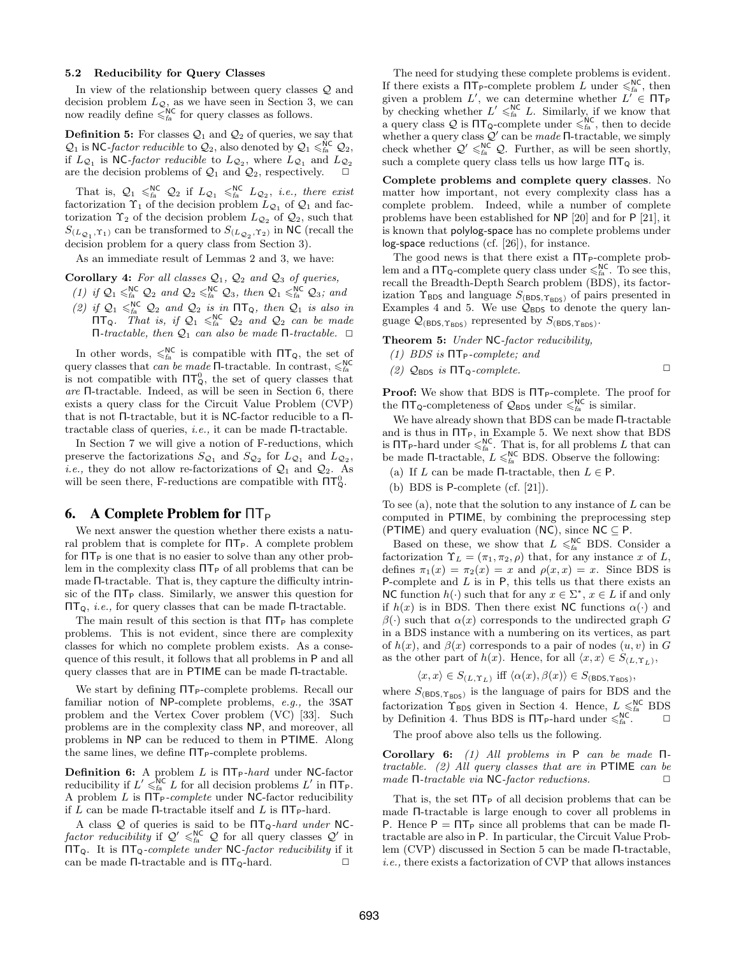### 5.2 Reducibility for Query Classes

In view of the relationship between query classes Q and decision problem  $L_{\mathcal{Q}_{\lambda}}$  as we have seen in Section 3, we can now readily define  $\leq^{\text{NC}}_{fa}$  for query classes as follows.

**Definition 5:** For classes  $Q_1$  and  $Q_2$  of queries, we say that  $Q_1$  is NC-factor reducible to  $Q_2$ , also denoted by  $Q_1 \leq N^{\text{CC}}_{fa} Q_2$ , if  $L_{\mathcal{Q}_1}$  is NC-factor reducible to  $L_{\mathcal{Q}_2}$ , where  $L_{\mathcal{Q}_1}$  and  $L_{\mathcal{Q}_2}$ are the decision problems of  $\mathcal{Q}_1$  and  $\mathcal{Q}_2$ , respectively.

That is,  $Q_1 \leq_{\text{fa}}^{\text{NC}} Q_2$  if  $L_{Q_1} \leq_{\text{fa}}^{\text{NC}} L_{Q_2}$ , *i.e.*, *there exist* factorization  $\Upsilon_1$  of the decision problem  $L_{\mathcal{Q}_1}$  of  $\mathcal{Q}_1$  and factorization  $\Upsilon_2$  of the decision problem  $L_{\mathcal{Q}_2}$  of  $\mathcal{Q}_2$ , such that  $S_{(L_{\mathcal{Q}_1},\Upsilon_1)}$  can be transformed to  $S_{(L_{\mathcal{Q}_2},\Upsilon_2)}$  in NC (recall the decision problem for a query class from Section 3).

As an immediate result of Lemmas 2 and 3, we have:

Corollary 4: For all classes  $Q_1$ ,  $Q_2$  and  $Q_3$  of queries,

(1) if  $\mathcal{Q}_1 \leqslant^{\mathsf{NC}}_{\mathit{fa}} \mathcal{Q}_2$  and  $\mathcal{Q}_2 \leqslant^{\mathsf{NC}}_{\mathit{fa}} \mathcal{Q}_3$ , then  $\mathcal{Q}_1 \leqslant^{\mathsf{NC}}_{\mathit{fa}} \mathcal{Q}_3$ ; and (2) if  $Q_1 \leq^{NC}_{fa} Q_2$  and  $Q_2$  is in  $\Pi T_Q$ , then  $Q_1$  is also in  $\Pi T_Q$ . That is, if  $Q_1 \leqslant^{\text{NC}}_{\text{fa}} Q_2$  and  $Q_2$  can be made Π-tractable, then  $Q_1$  can also be made Π-tractable.  $□$ 

In other words,  $\leq_{\text{fa}}^{\text{NC}}$  is compatible with  $\Pi T_Q$ , the set of query classes that *can be made*  $\Pi$ -tractable. In contrast,  $\leqslant^{\text{NC}}_{\text{fa}}$ is not compatible with  $\Pi_{\mathsf{Q}}^{0}$ , the set of query classes that are Π-tractable. Indeed, as will be seen in Section 6, there exists a query class for the Circuit Value Problem (CVP) that is not Π-tractable, but it is NC-factor reducible to a Πtractable class of queries, i.e., it can be made Π-tractable.

In Section 7 we will give a notion of F-reductions, which preserve the factorizations  $S_{\mathcal{Q}_1}$  and  $S_{\mathcal{Q}_2}$  for  $L_{\mathcal{Q}_1}$  and  $L_{\mathcal{Q}_2}$ , *i.e.*, they do not allow re-factorizations of  $\mathcal{Q}_1$  and  $\mathcal{Q}_2$ . As will be seen there, F-reductions are compatible with  $\Pi T_Q^0$ .

# 6. A Complete Problem for  $\Pi\Gamma_{\mathsf{P}}$

We next answer the question whether there exists a natural problem that is complete for ΠTP. A complete problem for  $\Pi T_P$  is one that is no easier to solve than any other problem in the complexity class  $\Pi\mathsf{T}_P$  of all problems that can be made Π-tractable. That is, they capture the difficulty intrinsic of the  $\Pi\mathsf{T}_P$  class. Similarly, we answer this question for ΠTQ, i.e., for query classes that can be made Π-tractable.

The main result of this section is that  $\Pi$ <sub>P</sub> has complete problems. This is not evident, since there are complexity classes for which no complete problem exists. As a consequence of this result, it follows that all problems in P and all query classes that are in PTIME can be made Π-tractable.

We start by defining  $\Pi T_P$ -complete problems. Recall our familiar notion of NP-complete problems, e.g., the 3SAT problem and the Vertex Cover problem (VC) [33]. Such problems are in the complexity class NP, and moreover, all problems in NP can be reduced to them in PTIME. Along the same lines, we define  $\Pi$ <sub>P</sub>-complete problems.

**Definition 6:** A problem L is  $\Pi T_P$ -hard under NC-factor reducibility if  $L' \leq_{\text{fa}}^{\text{NC}} L$  for all decision problems  $L'$  in  $\Pi\mathsf{T}_{\text{P}}$ . A problem  $L$  is  $\Pi T_P$ -complete under NC-factor reducibility if L can be made  $\Pi$ -tractable itself and L is  $\Pi$ T<sub>P</sub>-hard.

A class  $Q$  of queries is said to be  $\Pi T_Q$ -hard under NCfactor reducibility if  $Q' \leq^{\text{NC}}_{\text{fa}} Q$  for all query classes  $Q'$  in  $\Pi T_Q$ . It is  $\Pi T_Q$ -complete under NC-factor reducibility if it can be made  $\Pi$ -tractable and is  $\Pi T_Q$ -hard.  $\Box$ 

The need for studying these complete problems is evident. If there exists a  $\Pi\mathsf{T}_P$ -complete problem L under  $\leqslant_{\text{fa}}^{\mathsf{NC}}$ , then given a problem  $L'$ , we can determine whether  $L' \in \Pi T_P$ by checking whether  $L' \leq_{\text{fa}}^{\text{NC}} L$ . Similarly, if we know that a query class  $\mathcal{Q}$  is  $\Pi T_{\mathsf{Q}}$ -complete under  $\leqslant^{\mathsf{NC}}_{\mathit{fa}}$ , then to decide whether a query class  $Q'$  can be *made*  $\Pi$ -tractable, we simply check whether  $Q' \leq_{fa}^{NC} Q$ . Further, as will be seen shortly, such a complete query class tells us how large  $\Pi$  $\mathcal{T}_{\mathcal{Q}}$  is.

Complete problems and complete query classes. No matter how important, not every complexity class has a complete problem. Indeed, while a number of complete problems have been established for NP [20] and for P [21], it is known that polylog-space has no complete problems under log-space reductions (cf. [26]), for instance.

The good news is that there exist a  $\Pi$ -complete problem and a  $\Pi$ T<sub>Q</sub>-complete query class under  $\leq^{\text{NC}}_{\text{fa}}$ . To see this, recall the Breadth-Depth Search problem (BDS), its factorization  $\Upsilon_{\text{BDS}}$  and language  $S_{(\text{BDS}, \Upsilon_{\text{BDS}})}$  of pairs presented in Examples 4 and 5. We use  $Q_{\text{BDS}}$  to denote the query language  $\mathcal{Q}_{(\text{BDS}, \Upsilon_\text{BDS})}$  represented by  $S_{(\text{BDS}, \Upsilon_\text{BDS})}.$ 

Theorem 5: Under NC-factor reducibility,

(1) BDS is  $\Pi$ <sub>P</sub>-complete; and

(2)  $Q_{\text{BDS}}$  is  $\Pi T_{\text{Q}}$ -complete.  $\Box$ 

Proof: We show that BDS is  $\Pi T_P$ -complete. The proof for the  $\Pi T_Q$ -completeness of  $\mathcal{Q}_{\text{BDS}}$  under  $\leqslant^{\text{NC}}_{\text{fa}}$  is similar.

We have already shown that BDS can be made Π-tractable and is thus in  $\Pi T_{P}$ , in Example 5. We next show that BDS is  $\Pi T_{P}$ -hard under  $\leqslant^{\mathsf{NC}}_{\text{fa}}$ . That is, for all problems L that can be made  $\Pi$ -tractable,  $L \leq_{fa}^{\text{NC}}$  BDS. Observe the following:

(a) If L can be made  $\Pi$ -tractable, then  $L \in \mathsf{P}$ .

(b) BDS is P-complete (cf. [21]).

To see (a), note that the solution to any instance of  $L$  can be computed in PTIME, by combining the preprocessing step (PTIME) and query evaluation (NC), since  $NC \subseteq P$ .

Based on these, we show that  $L \leq_{\text{fa}}^{\text{NC}}$  BDS. Consider a factorization  $\Upsilon_L = (\pi_1, \pi_2, \rho)$  that, for any instance x of L, defines  $\pi_1(x) = \pi_2(x) = x$  and  $\rho(x, x) = x$ . Since BDS is P-complete and  $L$  is in  $P$ , this tells us that there exists an NC function  $h(\cdot)$  such that for any  $x \in \Sigma^*$ ,  $x \in L$  if and only if  $h(x)$  is in BDS. Then there exist NC functions  $\alpha(\cdot)$  and  $\beta(\cdot)$  such that  $\alpha(x)$  corresponds to the undirected graph G in a BDS instance with a numbering on its vertices, as part of  $h(x)$ , and  $\beta(x)$  corresponds to a pair of nodes  $(u, v)$  in G as the other part of  $h(x)$ . Hence, for all  $\langle x, x \rangle \in S_{(L,\Upsilon_L)}$ ,

$$
\langle x, x \rangle \in S_{(L, \Upsilon_L)} \text{ iff } \langle \alpha(x), \beta(x) \rangle \in S_{\text{(BDS, \Upsilon_{\text{BDS}})}}.
$$

where  $S_{(BDS, \Upsilon_{BDS})}$  is the language of pairs for BDS and the factorization  $\Upsilon_{\text{BDS}}$  given in Section 4. Hence,  $L \leq_{\text{fa}}^{\text{NC}}$  BDS by Definition 4. Thus BDS is  $\Pi T_P$ -hard under  $\leq R_G$ .  $\Box$ 

The proof above also tells us the following.

Corollary 6: (1) All problems in  $P$  can be made  $Π$ tractable. (2) All query classes that are in PTIME can be made  $\Pi$ -tractable via NC-factor reductions.  $\Box$ 

That is, the set  $\Pi\mathsf{T}_{\mathsf{P}}$  of all decision problems that can be made Π-tractable is large enough to cover all problems in P. Hence  $P = \Pi T_P$  since all problems that can be made  $\Pi$ tractable are also in P. In particular, the Circuit Value Problem (CVP) discussed in Section 5 can be made Π-tractable, i.e., there exists a factorization of CVP that allows instances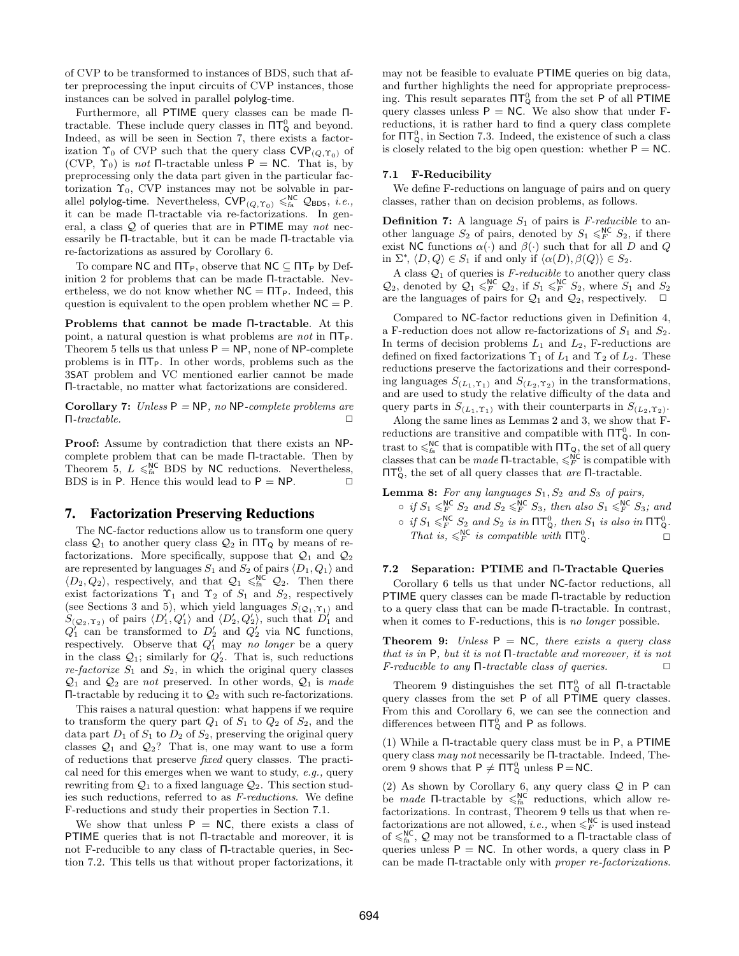of CVP to be transformed to instances of BDS, such that after preprocessing the input circuits of CVP instances, those instances can be solved in parallel polylog-time.

Furthermore, all PTIME query classes can be made Πtractable. These include query classes in  $\Pi T_Q^0$  and beyond. Indeed, as will be seen in Section 7, there exists a factorization  $\Upsilon_0$  of CVP such that the query class  $\text{CVP}_{(Q,\Upsilon_0)}$  of (CVP,  $\Upsilon_0$ ) is not  $\Pi$ -tractable unless  $P = NC$ . That is, by preprocessing only the data part given in the particular factorization  $\Upsilon_0$ , CVP instances may not be solvable in parallel polylog-time. Nevertheless,  $\text{CVP}_{(Q,\Upsilon_0)} \leqslant^{\text{NC}}_{\text{fa}} \mathcal{Q}_{\text{BDS}}, \ i.e.,$ it can be made Π-tractable via re-factorizations. In general, a class  $Q$  of queries that are in PTIME may not necessarily be Π-tractable, but it can be made Π-tractable via re-factorizations as assured by Corollary 6.

To compare NC and  $\Pi\mathsf{T}_P$ , observe that  $\mathsf{NC} \subseteq \Pi\mathsf{T}_P$  by Definition 2 for problems that can be made Π-tractable. Nevertheless, we do not know whether  $NC = \Pi T_P$ . Indeed, this question is equivalent to the open problem whether  $NC = P$ .

Problems that cannot be made Π-tractable. At this point, a natural question is what problems are *not* in  $\Pi$ T<sub>P</sub>. Theorem 5 tells us that unless  $P = NP$ , none of NP-complete problems is in ΠTP. In other words, problems such as the 3SAT problem and VC mentioned earlier cannot be made Π-tractable, no matter what factorizations are considered.

Corollary 7: Unless  $P = NP$ , no NP-complete problems are  $\Pi$ -tractable.  $\Box$ 

Proof: Assume by contradiction that there exists an NPcomplete problem that can be made Π-tractable. Then by Theorem 5,  $L \leq_{\text{fa}}^{\text{NC}}$  BDS by NC reductions. Nevertheless, BDS is in P. Hence this would lead to  $P = NP$ .

# 7. Factorization Preserving Reductions

The NC-factor reductions allow us to transform one query class  $Q_1$  to another query class  $Q_2$  in  $\Pi T_Q$  by means of refactorizations. More specifically, suppose that  $\mathcal{Q}_1$  and  $\mathcal{Q}_2$ are represented by languages  $S_1$  and  $S_2$  of pairs  $\langle D_1, Q_1 \rangle$  and  $\langle D_2, Q_2 \rangle$ , respectively, and that  $\mathcal{Q}_1 \leq_{\text{fa}}^{\text{NC}} \mathcal{Q}_2$ . Then there exist factorizations  $\Upsilon_1$  and  $\Upsilon_2$  of  $S_1$  and  $S_2$ , respectively (see Sections 3 and 5), which yield languages  $S_{(Q_1, \Upsilon_1)}$  and  $S_{(Q_2, \Upsilon_2)}$  of pairs  $\langle D'_1, Q'_1 \rangle$  and  $\langle D'_2, Q'_2 \rangle$ , such that  $D'_1$  and  $Q'_1$  can be transformed to  $D'_2$  and  $Q'_2$  via NC functions, respectively. Observe that  $Q'_1$  may no longer be a query in the class  $\mathcal{Q}_1$ ; similarly for  $\mathcal{Q}'_2$ . That is, such reductions *re-factorize*  $S_1$  and  $S_2$ , in which the original query classes  $\mathcal{Q}_1$  and  $\mathcal{Q}_2$  are not preserved. In other words,  $\mathcal{Q}_1$  is made Π-tractable by reducing it to Q<sup>2</sup> with such re-factorizations.

This raises a natural question: what happens if we require to transform the query part  $Q_1$  of  $S_1$  to  $Q_2$  of  $S_2$ , and the data part  $D_1$  of  $S_1$  to  $D_2$  of  $S_2$ , preserving the original query classes  $Q_1$  and  $Q_2$ ? That is, one may want to use a form of reductions that preserve fixed query classes. The practical need for this emerges when we want to study, e.g., query rewriting from  $Q_1$  to a fixed language  $Q_2$ . This section studies such reductions, referred to as F-reductions. We define F-reductions and study their properties in Section 7.1.

We show that unless  $P = NC$ , there exists a class of PTIME queries that is not Π-tractable and moreover, it is not F-reducible to any class of Π-tractable queries, in Section 7.2. This tells us that without proper factorizations, it

may not be feasible to evaluate PTIME queries on big data, and further highlights the need for appropriate preprocessing. This result separates  $\Pi_{\mathsf{Q}}^{0}$  from the set P of all PTIME query classes unless  $P = NC$ . We also show that under Freductions, it is rather hard to find a query class complete for  $\Pi T_Q^0$ , in Section 7.3. Indeed, the existence of such a class is closely related to the big open question: whether  $P = NC$ .

#### 7.1 F-Reducibility

We define F-reductions on language of pairs and on query classes, rather than on decision problems, as follows.

**Definition 7:** A language  $S_1$  of pairs is F-reducible to another language  $S_2$  of pairs, denoted by  $S_1 \leq F \leq S_2$ , if there exist NC functions  $\alpha(\cdot)$  and  $\beta(\cdot)$  such that for all D and Q in  $\Sigma^*, \langle D, Q \rangle \in S_1$  if and only if  $\langle \alpha(D), \beta(Q) \rangle \in S_2$ .

A class  $Q_1$  of queries is F-reducible to another query class  $\mathcal{Q}_2$ , denoted by  $\mathcal{Q}_1 \leqslant^{\mathsf{NC}}_F \mathcal{Q}_2$ , if  $S_1 \leqslant^{\mathsf{NC}}_F S_2$ , where  $S_1$  and  $S_2$ are the languages of pairs for  $\mathcal{Q}_1$  and  $\mathcal{Q}_2$ , respectively.  $\Box$ 

Compared to NC-factor reductions given in Definition 4, a F-reduction does not allow re-factorizations of  $S_1$  and  $S_2$ . In terms of decision problems  $L_1$  and  $L_2$ , F-reductions are defined on fixed factorizations  $\Upsilon_1$  of  $L_1$  and  $\Upsilon_2$  of  $L_2$ . These reductions preserve the factorizations and their corresponding languages  $S_{(L_1, \Upsilon_1)}$  and  $S_{(L_2, \Upsilon_2)}$  in the transformations, and are used to study the relative difficulty of the data and query parts in  $S_{(L_1,\Upsilon_1)}$  with their counterparts in  $S_{(L_2,\Upsilon_2)}$ .

Along the same lines as Lemmas 2 and 3, we show that Freductions are transitive and compatible with  $\Pi_{\mathsf{Q}}^{\mathsf{u}}$ . In contrast to  $\leqslant_{fa}^{NC}$  that is compatible with  $\Pi_{Q_2}$  the set of all query classes that can be *made*  $\Pi$ -tractable,  $\leqslant^{\text{NC}}_F$  is compatible with  $\Pi T^0_Q$ , the set of all query classes that *are*  $\Pi$ -tractable.

**Lemma 8:** For any languages  $S_1, S_2$  and  $S_3$  of pairs,

 $\circ$  if  $S_1 \leqslant^{\mathsf{NC}}_F S_2$  and  $S_2 \leqslant^{\mathsf{NC}}_F S_3$ , then also  $S_1 \leqslant^{\mathsf{NC}}_F S_3$ ; and  $\circ$  if  $S_1 \leqslant^{\text{NC}}_{F} S_2$  and  $S_2$  is in  $\Pi T_Q^0$ , then  $S_1$  is also in  $\Pi T_Q^0$ . That is,  $\leqslant^{\text{NC}}_F$  is compatible with  $\Pi T^0_Q$ .

#### 7.2 Separation: PTIME and Π-Tractable Queries

Corollary 6 tells us that under NC-factor reductions, all PTIME query classes can be made Π-tractable by reduction to a query class that can be made Π-tractable. In contrast, when it comes to F-reductions, this is no longer possible.

**Theorem 9:** Unless  $P = NC$ , there exists a query class that is in P, but it is not  $\Pi$ -tractable and moreover, it is not  $F$ -reducible to any  $\Pi$ -tractable class of queries.  $\Box$ 

Theorem 9 distinguishes the set  $\Pi T_Q^0$  of all  $\Pi$ -tractable query classes from the set P of all PTIME query classes. From this and Corollary 6, we can see the connection and differences between  $\Pi_{\mathsf{Q}}^{0}$  and P as follows.

(1) While a Π-tractable query class must be in P, a PTIME query class may not necessarily be Π-tractable. Indeed, Theorem 9 shows that  $P \neq \Pi T_Q^0$  unless  $P = NC$ .

(2) As shown by Corollary 6, any query class  $Q$  in P can be *made*  $\Pi$ -tractable by  $\leq_{fa}^{NC}$  reductions, which allow refactorizations. In contrast, Theorem 9 tells us that when refactorizations are not allowed, *i.e.*, when  $\leqslant^{\text{NC}}_F$  is used instead of  $\leq^{\sf NC}_{\it fa}$ ,  ${\cal Q}$  may not be transformed to a  $\Pi$ -tractable class of queries unless  $P = NC$ . In other words, a query class in P can be made Π-tractable only with proper re-factorizations.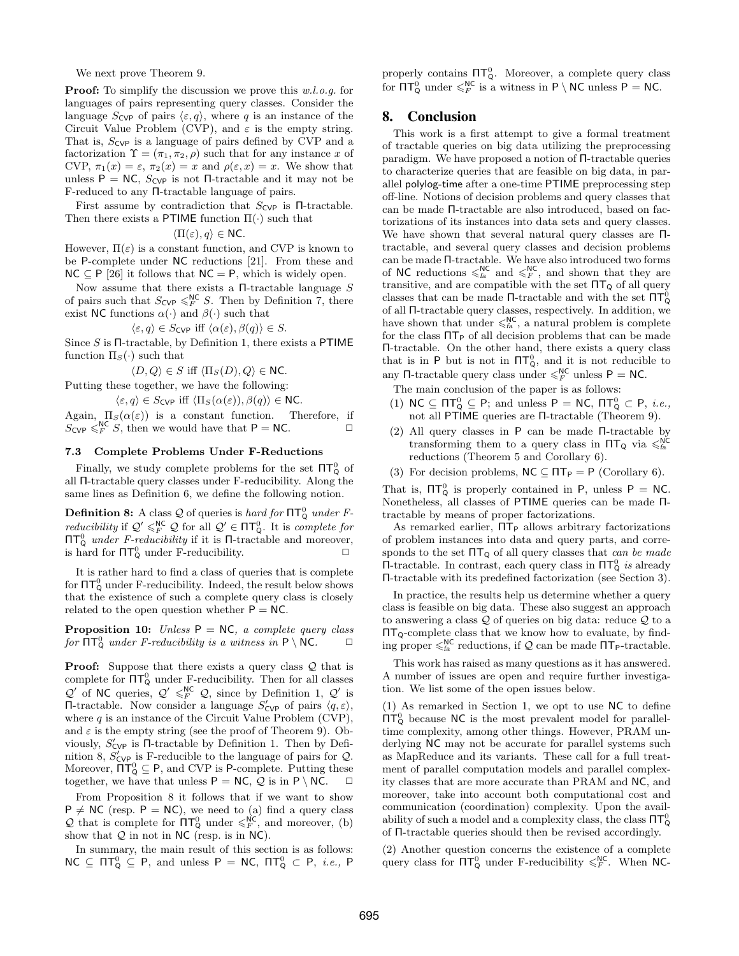We next prove Theorem 9.

**Proof:** To simplify the discussion we prove this w.l.o.g. for languages of pairs representing query classes. Consider the language  $S_{\text{CVP}}$  of pairs  $\langle \varepsilon, q \rangle$ , where q is an instance of the Circuit Value Problem (CVP), and  $\varepsilon$  is the empty string. That is,  $S_{\text{CVP}}$  is a language of pairs defined by CVP and a factorization  $\Upsilon = (\pi_1, \pi_2, \rho)$  such that for any instance x of CVP,  $\pi_1(x) = \varepsilon$ ,  $\pi_2(x) = x$  and  $\rho(\varepsilon, x) = x$ . We show that unless  $P = NC$ ,  $S_{CVP}$  is not  $\Pi$ -tractable and it may not be F-reduced to any Π-tractable language of pairs.

First assume by contradiction that  $S_{\text{CVP}}$  is  $\Pi$ -tractable. Then there exists a PTIME function  $\Pi(\cdot)$  such that

$$
\langle \Pi(\varepsilon), q \rangle \in \mathsf{NC}.
$$

However,  $\Pi(\varepsilon)$  is a constant function, and CVP is known to be P-complete under NC reductions [21]. From these and  $NC \subseteq P$  [26] it follows that  $NC = P$ , which is widely open.

Now assume that there exists a  $\Pi$ -tractable language S of pairs such that  $S_{\text{CVP}} \leq F^{\text{NC}} S$ . Then by Definition 7, there exist NC functions  $\alpha(\cdot)$  and  $\beta(\cdot)$  such that

$$
\langle \varepsilon, q \rangle \in S_{\text{CVP}} \text{ iff } \langle \alpha(\varepsilon), \beta(q) \rangle \in S.
$$

Since  $S$  is  $\Pi$ -tractable, by Definition 1, there exists a PTIME function  $\Pi_S(\cdot)$  such that

 $\langle D, Q \rangle \in S$  iff  $\langle \Pi_S(D), Q \rangle \in \mathsf{NC}$ .

Putting these together, we have the following:

 $\langle \varepsilon, q \rangle \in S_{\text{CVP}}$  iff  $\langle \Pi_S(\alpha(\varepsilon)), \beta(q) \rangle \in \text{NC}$ .

Again,  $\Pi_S(\alpha(\varepsilon))$  is a constant function. Therefore, if  $S_{\text{CVP}} \leqslant^{\text{NC}}_{F} S$ , then we would have that  $P = \text{NC}$ .

#### 7.3 Complete Problems Under F-Reductions

Finally, we study complete problems for the set  $\Pi_{\mathsf{Q}}^{0}$  of all Π-tractable query classes under F-reducibility. Along the same lines as Definition 6, we define the following notion.

**Definition 8:** A class  $Q$  of queries is *hard for*  $\Pi T_Q^0$  *under Freducibility* if  $Q' \leq F \subset Q$  for all  $Q' \in \Pi T_Q^0$ . It is *complete for*  $\Pi T^0_Q$  under *F*-reducibility if it is Π-tractable and moreover, is hard for  $\Pi T_Q^0$  under F-reducibility.  $\square$ 

It is rather hard to find a class of queries that is complete for  $\Pi T_Q^0$  under F-reducibility. Indeed, the result below shows that the existence of such a complete query class is closely related to the open question whether  $P = NC$ .

**Proposition 10:** Unless  $P = NC$ , a complete query class for  $\Pi T_Q^0$  under *F*-reducibility is a witness in  $P \setminus NC$ .

**Proof:** Suppose that there exists a query class Q that is complete for  $\Pi T_Q^0$  under F-reducibility. Then for all classes  $\mathcal{Q}'$  of NC queries,  $\mathcal{Q}' \leq F^{\mathsf{NC}}$   $\mathcal{Q}$ , since by Definition 1,  $\mathcal{Q}'$  is Π-tractable. Now consider a language  $S'_{\text{CVP}}$  of pairs  $\langle q, \varepsilon \rangle$ , where  $q$  is an instance of the Circuit Value Problem (CVP), and  $\varepsilon$  is the empty string (see the proof of Theorem 9). Obviously,  $S'_{\text{CVP}}$  is  $\Pi$ -tractable by Definition 1. Then by Definition 8,  $S'_{\text{CVP}}$  is F-reducible to the language of pairs for  $\mathcal{Q}$ . Moreover,  $\Pi T_Q^0 \subseteq P$ , and CVP is P-complete. Putting these together, we have that unless  $P = NC$ ,  $Q$  is in  $P \setminus NC$ .  $\Box$ 

From Proposition 8 it follows that if we want to show  $P \neq NC$  (resp.  $P = NC$ ), we need to (a) find a query class Q that is complete for  $\Pi_{\mathsf{Q}}^0$  under  $\leqslant^{\mathsf{NC}}_F$ , and moreover, (b) show that  $Q$  in not in NC (resp. is in NC).

In summary, the main result of this section is as follows: NC  $\subseteq$  ΠT<sub>Q</sub>  $\subseteq$  P, and unless P = NC, ΠT<sub>Q</sub>  $\subset$  P, *i.e.*, P

properly contains  $\Pi_{\mathsf{Q}}^0$ . Moreover, a complete query class for  $\Pi T_Q^0$  under  $\leqslant^{\text{NC}}_F$  is a witness in P \ NC unless P = NC.

# 8. Conclusion

This work is a first attempt to give a formal treatment of tractable queries on big data utilizing the preprocessing paradigm. We have proposed a notion of Π-tractable queries to characterize queries that are feasible on big data, in parallel polylog-time after a one-time PTIME preprocessing step off-line. Notions of decision problems and query classes that can be made Π-tractable are also introduced, based on factorizations of its instances into data sets and query classes. We have shown that several natural query classes are Πtractable, and several query classes and decision problems can be made Π-tractable. We have also introduced two forms of NC reductions  $\leqslant^{\text{NC}}_{\text{fa}}$  and  $\leqslant^{\text{NC}}_{\text{F}}$ , and shown that they are transitive, and are compatible with the set  $\Pi T_{\textsf{Q}}$  of all query classes that can be made  $\Pi$ -tractable and with the set  $\Pi T_Q^0$ of all Π-tractable query classes, respectively. In addition, we have shown that under  $\leqslant_{\text{fa}}^{\text{NC}}$ , a natural problem is complete for the class  $\Pi\mathsf{T}_P$  of all decision problems that can be made Π-tractable. On the other hand, there exists a query class that is in P but is not in  $\Pi_{\mathsf{Q}}^{0}$ , and it is not reducible to any  $\Pi$ -tractable query class under  $\leqslant^{\mathsf{NC}}_F$  unless  $\mathsf{P} = \mathsf{NC}$ .

The main conclusion of the paper is as follows:

- (1) NC  $\subseteq \Pi T_Q^0 \subseteq P$ ; and unless P = NC,  $\Pi T_Q^0 \subset P$ , *i.e.*, not all PTIME queries are Π-tractable (Theorem 9).
- (2) All query classes in P can be made Π-tractable by transforming them to a query class in  $\Pi T_Q$  via  $\leq^{\text{NC}}_{\text{fa}}$ reductions (Theorem 5 and Corollary 6).
- (3) For decision problems,  $NC \subseteq \Pi T_P = P$  (Corollary 6).

That is,  $\Pi T_Q^0$  is properly contained in P, unless P = NC. Nonetheless, all classes of PTIME queries can be made Πtractable by means of proper factorizations.

As remarked earlier,  $\Pi T_P$  allows arbitrary factorizations of problem instances into data and query parts, and corresponds to the set  $\Pi T_Q$  of all query classes that *can be made* Π-tractable. In contrast, each query class in  $\Pi T_Q^0$  is already Π-tractable with its predefined factorization (see Section 3).

In practice, the results help us determine whether a query class is feasible on big data. These also suggest an approach to answering a class Q of queries on big data: reduce Q to a ΠTQ-complete class that we know how to evaluate, by finding proper  $\leq^{\text{NC}}_{\text{fa}}$  reductions, if Q can be made  $\Pi\mathsf{T}_{\text{P}}\text{-tractable}$ .

This work has raised as many questions as it has answered. A number of issues are open and require further investigation. We list some of the open issues below.

(1) As remarked in Section 1, we opt to use NC to define  $\Pi_{\mathsf{Q}}^{\mathsf{T}}$  because NC is the most prevalent model for paralleltime complexity, among other things. However, PRAM underlying NC may not be accurate for parallel systems such as MapReduce and its variants. These call for a full treatment of parallel computation models and parallel complexity classes that are more accurate than PRAM and NC, and moreover, take into account both computational cost and communication (coordination) complexity. Upon the availability of such a model and a complexity class, the class  $\mathsf{\Pi} \mathsf{T}^0_\mathsf{Q}$ of Π-tractable queries should then be revised accordingly.

(2) Another question concerns the existence of a complete query class for  $\Pi T_Q^0$  under F-reducibility  $\leqslant^{\text{NC}}_F$ . When NC-